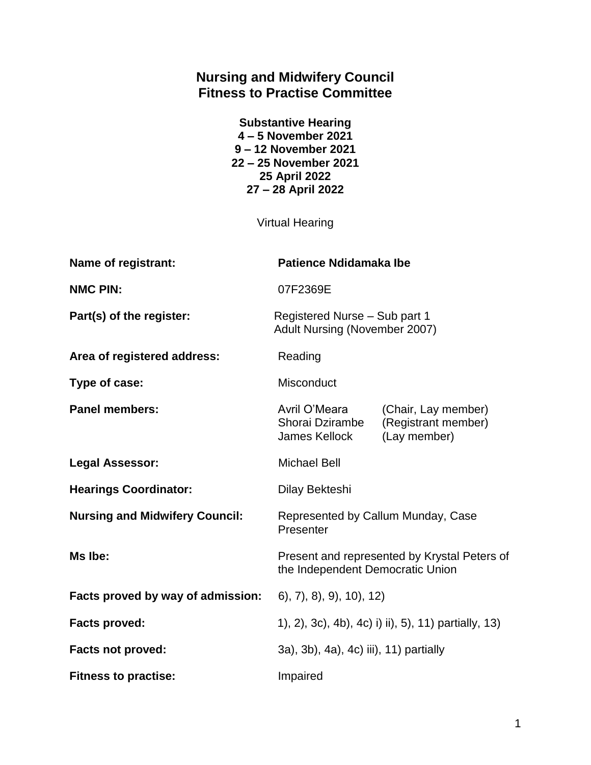# **Nursing and Midwifery Council Fitness to Practise Committee**

| <b>Substantive Hearing</b> |
|----------------------------|
| 4-5 November 2021          |
| 9-12 November 2021         |
| 22 – 25 November 2021      |
| 25 April 2022              |
| 27 - 28 April 2022         |

Virtual Hearing

| Name of registrant:                   | <b>Patience Ndidamaka Ibe</b>                                                    |                                                            |
|---------------------------------------|----------------------------------------------------------------------------------|------------------------------------------------------------|
| <b>NMC PIN:</b>                       | 07F2369E                                                                         |                                                            |
| Part(s) of the register:              | Registered Nurse - Sub part 1<br>Adult Nursing (November 2007)                   |                                                            |
| Area of registered address:           | Reading                                                                          |                                                            |
| Type of case:                         | <b>Misconduct</b>                                                                |                                                            |
| <b>Panel members:</b>                 | Avril O'Meara<br>Shorai Dzirambe<br>James Kellock                                | (Chair, Lay member)<br>(Registrant member)<br>(Lay member) |
| <b>Legal Assessor:</b>                | <b>Michael Bell</b>                                                              |                                                            |
| <b>Hearings Coordinator:</b>          | Dilay Bekteshi                                                                   |                                                            |
| <b>Nursing and Midwifery Council:</b> | Represented by Callum Munday, Case<br>Presenter                                  |                                                            |
| Ms Ibe:                               | Present and represented by Krystal Peters of<br>the Independent Democratic Union |                                                            |
| Facts proved by way of admission:     | (6), 7), 8), 9), 10), 12)                                                        |                                                            |
| <b>Facts proved:</b>                  | 1), 2), 3c), 4b), 4c) i) ii), 5), 11) partially, 13)                             |                                                            |
| <b>Facts not proved:</b>              | 3a), 3b), 4a), 4c) iii), 11) partially                                           |                                                            |
| <b>Fitness to practise:</b>           | Impaired                                                                         |                                                            |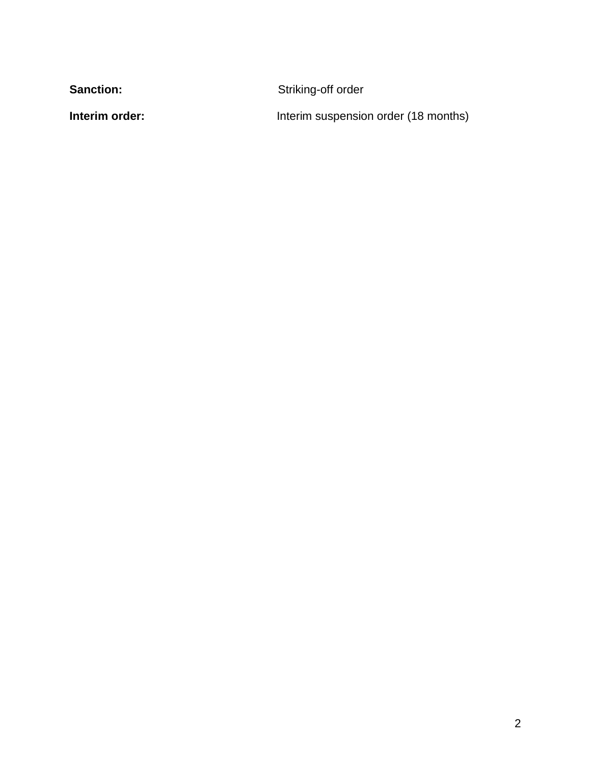Sanction: **Sanction:** Striking-off order

**Interim order:** Interim suspension order (18 months)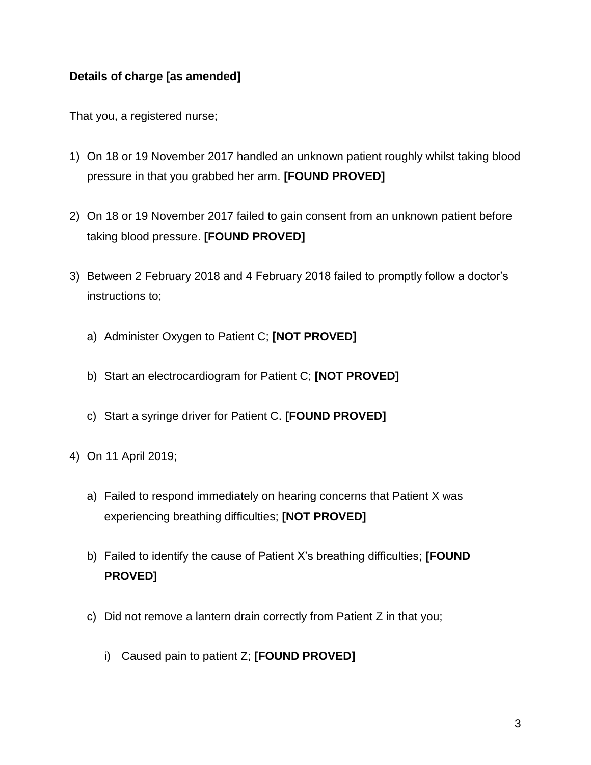## **Details of charge [as amended]**

That you, a registered nurse;

- 1) On 18 or 19 November 2017 handled an unknown patient roughly whilst taking blood pressure in that you grabbed her arm. **[FOUND PROVED]**
- 2) On 18 or 19 November 2017 failed to gain consent from an unknown patient before taking blood pressure. **[FOUND PROVED]**
- 3) Between 2 February 2018 and 4 February 2018 failed to promptly follow a doctor's instructions to;
	- a) Administer Oxygen to Patient C; **[NOT PROVED]**
	- b) Start an electrocardiogram for Patient C; **[NOT PROVED]**
	- c) Start a syringe driver for Patient C. **[FOUND PROVED]**
- 4) On 11 April 2019;
	- a) Failed to respond immediately on hearing concerns that Patient X was experiencing breathing difficulties; **[NOT PROVED]**
	- b) Failed to identify the cause of Patient X's breathing difficulties; **[FOUND PROVED]**
	- c) Did not remove a lantern drain correctly from Patient Z in that you;
		- i) Caused pain to patient Z; **[FOUND PROVED]**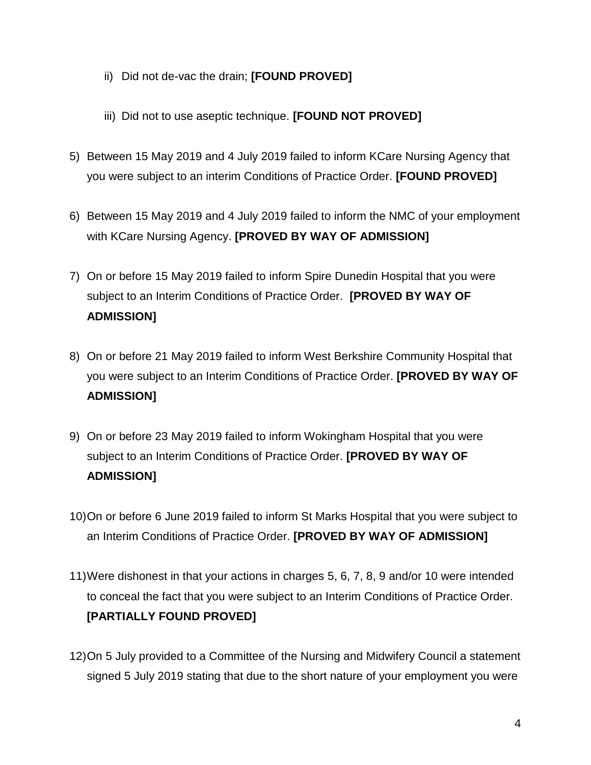- ii) Did not de-vac the drain; **[FOUND PROVED]**
- iii) Did not to use aseptic technique. **[FOUND NOT PROVED]**
- 5) Between 15 May 2019 and 4 July 2019 failed to inform KCare Nursing Agency that you were subject to an interim Conditions of Practice Order. **[FOUND PROVED]**
- 6) Between 15 May 2019 and 4 July 2019 failed to inform the NMC of your employment with KCare Nursing Agency. **[PROVED BY WAY OF ADMISSION]**
- 7) On or before 15 May 2019 failed to inform Spire Dunedin Hospital that you were subject to an Interim Conditions of Practice Order. **[PROVED BY WAY OF ADMISSION]**
- 8) On or before 21 May 2019 failed to inform West Berkshire Community Hospital that you were subject to an Interim Conditions of Practice Order. **[PROVED BY WAY OF ADMISSION]**
- 9) On or before 23 May 2019 failed to inform Wokingham Hospital that you were subject to an Interim Conditions of Practice Order. **[PROVED BY WAY OF ADMISSION]**
- 10)On or before 6 June 2019 failed to inform St Marks Hospital that you were subject to an Interim Conditions of Practice Order. **[PROVED BY WAY OF ADMISSION]**
- 11)Were dishonest in that your actions in charges 5, 6, 7, 8, 9 and/or 10 were intended to conceal the fact that you were subject to an Interim Conditions of Practice Order. **[PARTIALLY FOUND PROVED]**
- 12)On 5 July provided to a Committee of the Nursing and Midwifery Council a statement signed 5 July 2019 stating that due to the short nature of your employment you were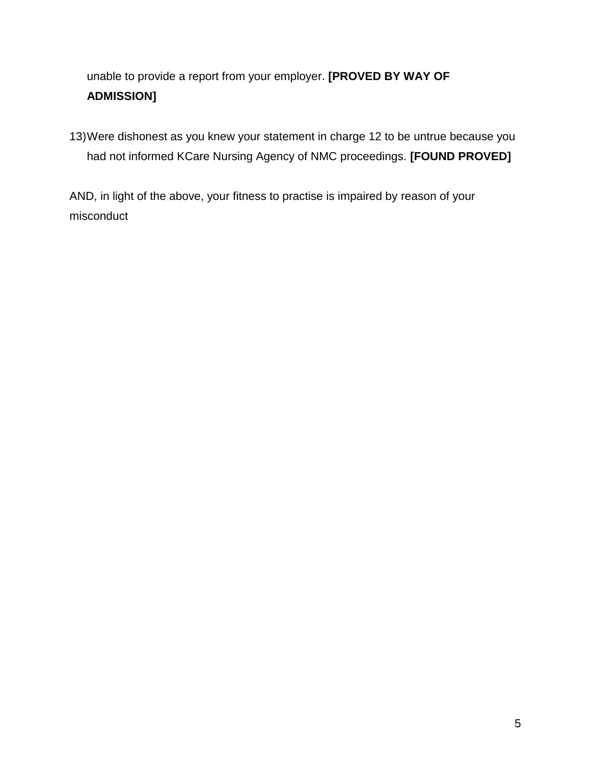# unable to provide a report from your employer. **[PROVED BY WAY OF ADMISSION]**

13)Were dishonest as you knew your statement in charge 12 to be untrue because you had not informed KCare Nursing Agency of NMC proceedings. **[FOUND PROVED]**

AND, in light of the above, your fitness to practise is impaired by reason of your misconduct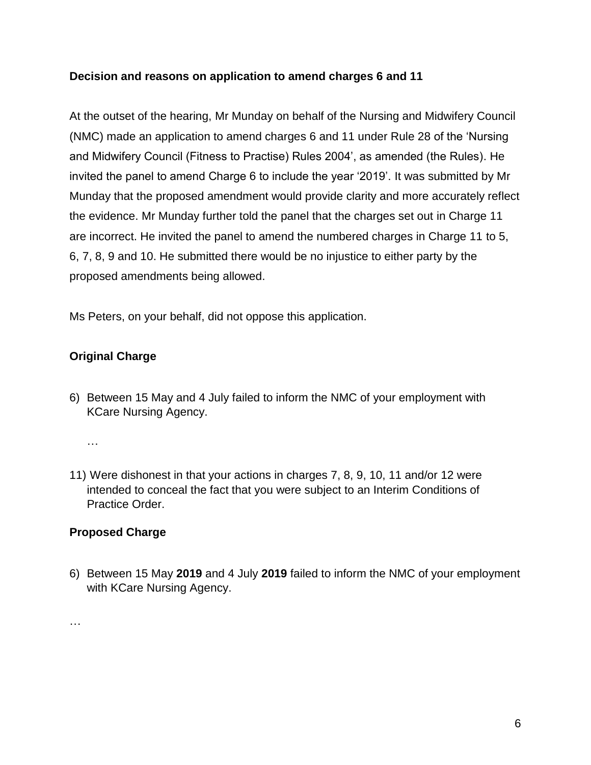## **Decision and reasons on application to amend charges 6 and 11**

At the outset of the hearing, Mr Munday on behalf of the Nursing and Midwifery Council (NMC) made an application to amend charges 6 and 11 under Rule 28 of the 'Nursing and Midwifery Council (Fitness to Practise) Rules 2004', as amended (the Rules). He invited the panel to amend Charge 6 to include the year '2019'. It was submitted by Mr Munday that the proposed amendment would provide clarity and more accurately reflect the evidence. Mr Munday further told the panel that the charges set out in Charge 11 are incorrect. He invited the panel to amend the numbered charges in Charge 11 to 5, 6, 7, 8, 9 and 10. He submitted there would be no injustice to either party by the proposed amendments being allowed.

Ms Peters, on your behalf, did not oppose this application.

# **Original Charge**

6) Between 15 May and 4 July failed to inform the NMC of your employment with KCare Nursing Agency.

…

11) Were dishonest in that your actions in charges 7, 8, 9, 10, 11 and/or 12 were intended to conceal the fact that you were subject to an Interim Conditions of Practice Order.

## **Proposed Charge**

6) Between 15 May **2019** and 4 July **2019** failed to inform the NMC of your employment with KCare Nursing Agency.

…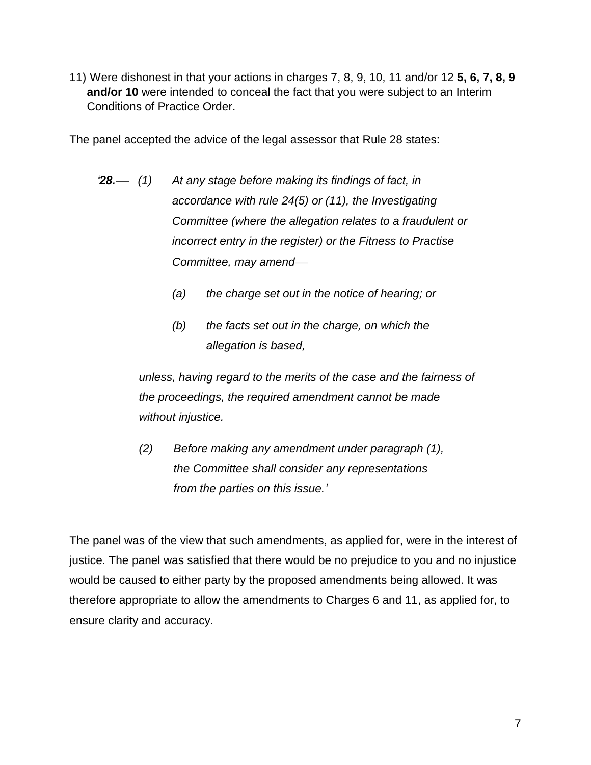11) Were dishonest in that your actions in charges 7, 8, 9, 10, 11 and/or 12 **5, 6, 7, 8, 9 and/or 10** were intended to conceal the fact that you were subject to an Interim Conditions of Practice Order.

The panel accepted the advice of the legal assessor that Rule 28 states:

- *'28. (1) At any stage before making its findings of fact, in accordance with rule 24(5) or (11), the Investigating Committee (where the allegation relates to a fraudulent or incorrect entry in the register) or the Fitness to Practise Committee, may amend*
	- *(a) the charge set out in the notice of hearing; or*
	- *(b) the facts set out in the charge, on which the allegation is based,*

*unless, having regard to the merits of the case and the fairness of the proceedings, the required amendment cannot be made without injustice.* 

*(2) Before making any amendment under paragraph (1), the Committee shall consider any representations from the parties on this issue.'*

The panel was of the view that such amendments, as applied for, were in the interest of justice. The panel was satisfied that there would be no prejudice to you and no injustice would be caused to either party by the proposed amendments being allowed. It was therefore appropriate to allow the amendments to Charges 6 and 11, as applied for, to ensure clarity and accuracy.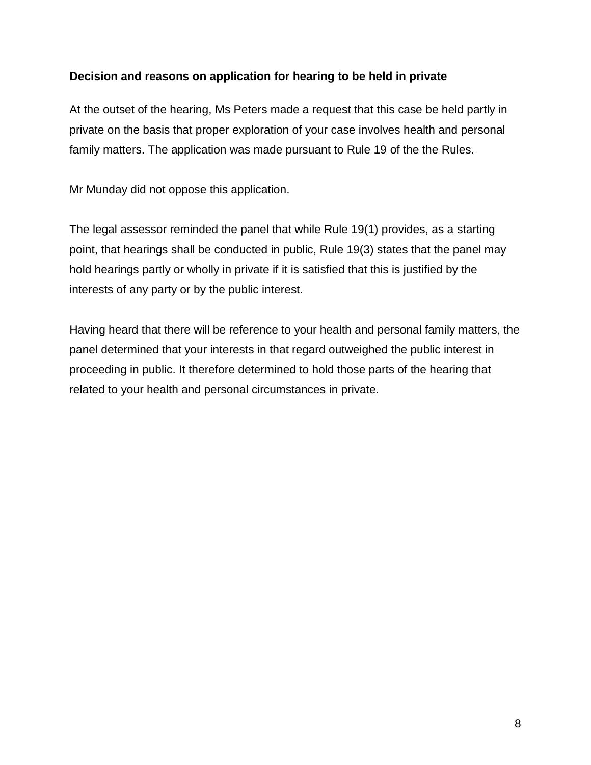#### **Decision and reasons on application for hearing to be held in private**

At the outset of the hearing, Ms Peters made a request that this case be held partly in private on the basis that proper exploration of your case involves health and personal family matters. The application was made pursuant to Rule 19 of the the Rules.

Mr Munday did not oppose this application.

The legal assessor reminded the panel that while Rule 19(1) provides, as a starting point, that hearings shall be conducted in public, Rule 19(3) states that the panel may hold hearings partly or wholly in private if it is satisfied that this is justified by the interests of any party or by the public interest.

Having heard that there will be reference to your health and personal family matters, the panel determined that your interests in that regard outweighed the public interest in proceeding in public. It therefore determined to hold those parts of the hearing that related to your health and personal circumstances in private.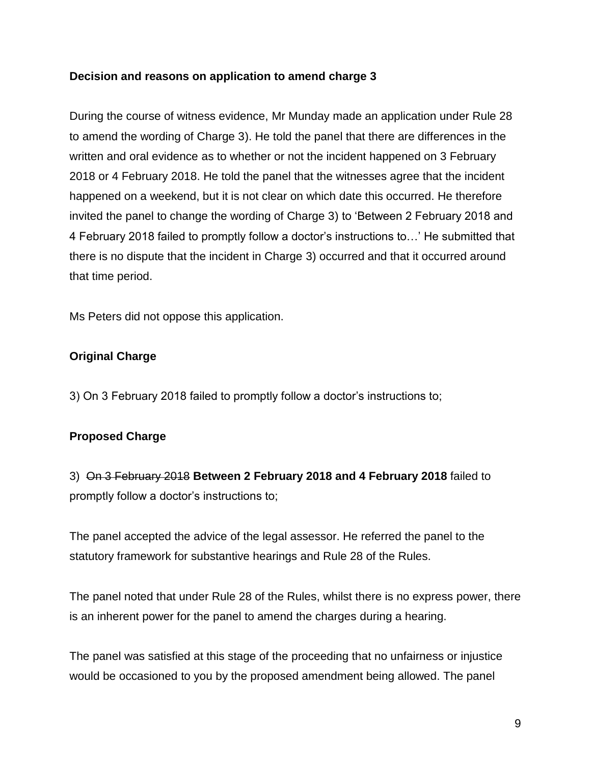#### **Decision and reasons on application to amend charge 3**

During the course of witness evidence, Mr Munday made an application under Rule 28 to amend the wording of Charge 3). He told the panel that there are differences in the written and oral evidence as to whether or not the incident happened on 3 February 2018 or 4 February 2018. He told the panel that the witnesses agree that the incident happened on a weekend, but it is not clear on which date this occurred. He therefore invited the panel to change the wording of Charge 3) to 'Between 2 February 2018 and 4 February 2018 failed to promptly follow a doctor's instructions to…' He submitted that there is no dispute that the incident in Charge 3) occurred and that it occurred around that time period.

Ms Peters did not oppose this application.

## **Original Charge**

3) On 3 February 2018 failed to promptly follow a doctor's instructions to;

## **Proposed Charge**

3) On 3 February 2018 **Between 2 February 2018 and 4 February 2018** failed to promptly follow a doctor's instructions to;

The panel accepted the advice of the legal assessor. He referred the panel to the statutory framework for substantive hearings and Rule 28 of the Rules.

The panel noted that under Rule 28 of the Rules, whilst there is no express power, there is an inherent power for the panel to amend the charges during a hearing.

The panel was satisfied at this stage of the proceeding that no unfairness or injustice would be occasioned to you by the proposed amendment being allowed. The panel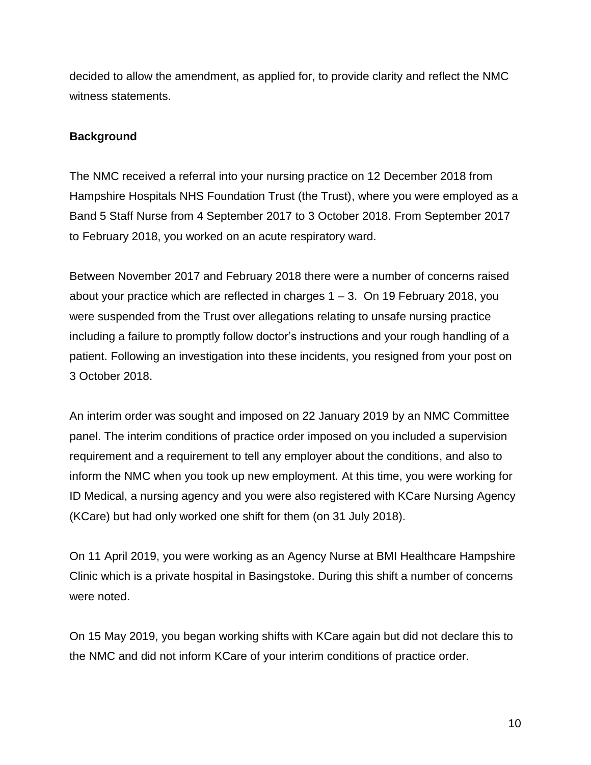decided to allow the amendment, as applied for, to provide clarity and reflect the NMC witness statements.

#### **Background**

The NMC received a referral into your nursing practice on 12 December 2018 from Hampshire Hospitals NHS Foundation Trust (the Trust), where you were employed as a Band 5 Staff Nurse from 4 September 2017 to 3 October 2018. From September 2017 to February 2018, you worked on an acute respiratory ward.

Between November 2017 and February 2018 there were a number of concerns raised about your practice which are reflected in charges 1 – 3. On 19 February 2018, you were suspended from the Trust over allegations relating to unsafe nursing practice including a failure to promptly follow doctor's instructions and your rough handling of a patient. Following an investigation into these incidents, you resigned from your post on 3 October 2018.

An interim order was sought and imposed on 22 January 2019 by an NMC Committee panel. The interim conditions of practice order imposed on you included a supervision requirement and a requirement to tell any employer about the conditions, and also to inform the NMC when you took up new employment. At this time, you were working for ID Medical, a nursing agency and you were also registered with KCare Nursing Agency (KCare) but had only worked one shift for them (on 31 July 2018).

On 11 April 2019, you were working as an Agency Nurse at BMI Healthcare Hampshire Clinic which is a private hospital in Basingstoke. During this shift a number of concerns were noted.

On 15 May 2019, you began working shifts with KCare again but did not declare this to the NMC and did not inform KCare of your interim conditions of practice order.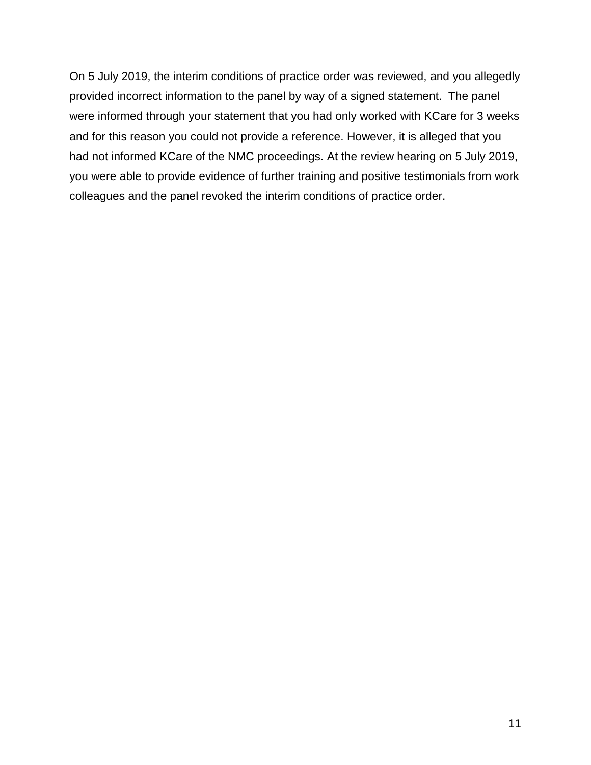On 5 July 2019, the interim conditions of practice order was reviewed, and you allegedly provided incorrect information to the panel by way of a signed statement. The panel were informed through your statement that you had only worked with KCare for 3 weeks and for this reason you could not provide a reference. However, it is alleged that you had not informed KCare of the NMC proceedings. At the review hearing on 5 July 2019, you were able to provide evidence of further training and positive testimonials from work colleagues and the panel revoked the interim conditions of practice order.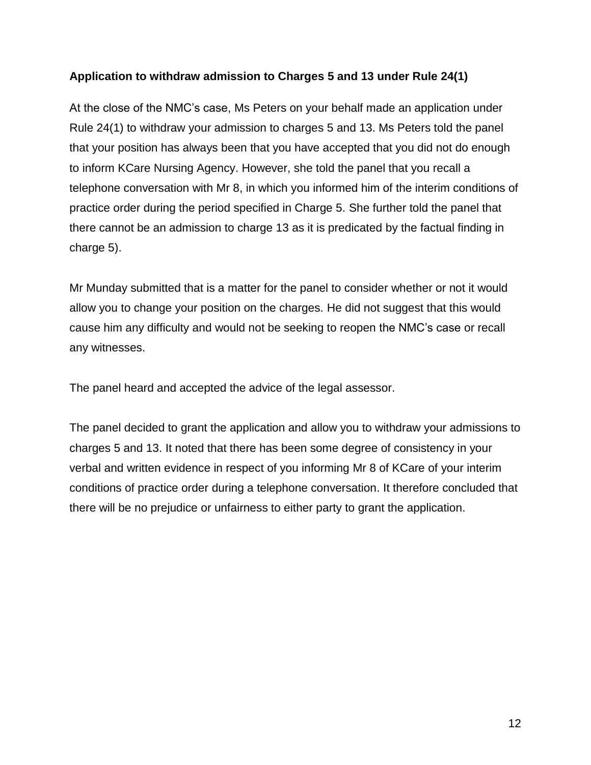## **Application to withdraw admission to Charges 5 and 13 under Rule 24(1)**

At the close of the NMC's case, Ms Peters on your behalf made an application under Rule 24(1) to withdraw your admission to charges 5 and 13. Ms Peters told the panel that your position has always been that you have accepted that you did not do enough to inform KCare Nursing Agency. However, she told the panel that you recall a telephone conversation with Mr 8, in which you informed him of the interim conditions of practice order during the period specified in Charge 5. She further told the panel that there cannot be an admission to charge 13 as it is predicated by the factual finding in charge 5).

Mr Munday submitted that is a matter for the panel to consider whether or not it would allow you to change your position on the charges. He did not suggest that this would cause him any difficulty and would not be seeking to reopen the NMC's case or recall any witnesses.

The panel heard and accepted the advice of the legal assessor.

The panel decided to grant the application and allow you to withdraw your admissions to charges 5 and 13. It noted that there has been some degree of consistency in your verbal and written evidence in respect of you informing Mr 8 of KCare of your interim conditions of practice order during a telephone conversation. It therefore concluded that there will be no prejudice or unfairness to either party to grant the application.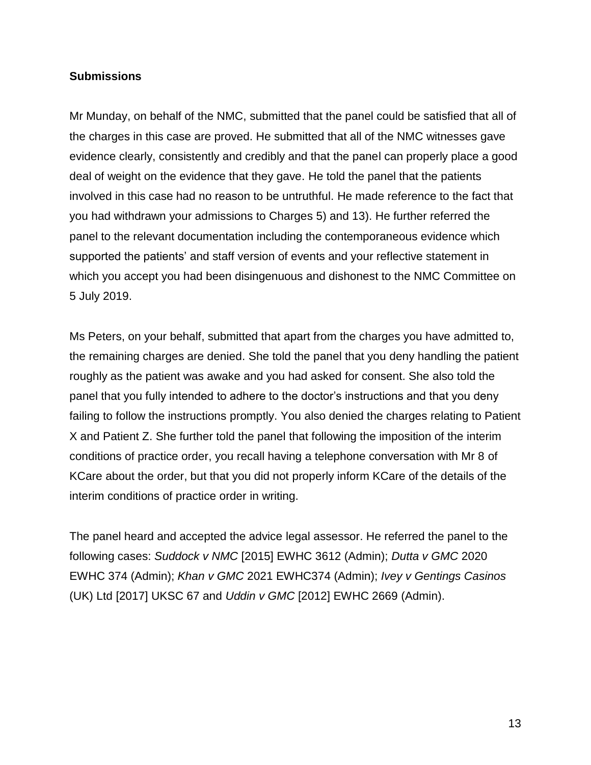#### **Submissions**

Mr Munday, on behalf of the NMC, submitted that the panel could be satisfied that all of the charges in this case are proved. He submitted that all of the NMC witnesses gave evidence clearly, consistently and credibly and that the panel can properly place a good deal of weight on the evidence that they gave. He told the panel that the patients involved in this case had no reason to be untruthful. He made reference to the fact that you had withdrawn your admissions to Charges 5) and 13). He further referred the panel to the relevant documentation including the contemporaneous evidence which supported the patients' and staff version of events and your reflective statement in which you accept you had been disingenuous and dishonest to the NMC Committee on 5 July 2019.

Ms Peters, on your behalf, submitted that apart from the charges you have admitted to, the remaining charges are denied. She told the panel that you deny handling the patient roughly as the patient was awake and you had asked for consent. She also told the panel that you fully intended to adhere to the doctor's instructions and that you deny failing to follow the instructions promptly. You also denied the charges relating to Patient X and Patient Z. She further told the panel that following the imposition of the interim conditions of practice order, you recall having a telephone conversation with Mr 8 of KCare about the order, but that you did not properly inform KCare of the details of the interim conditions of practice order in writing.

The panel heard and accepted the advice legal assessor. He referred the panel to the following cases: *Suddock v NMC* [2015] EWHC 3612 (Admin); *Dutta v GMC* 2020 EWHC 374 (Admin); *Khan v GMC* 2021 EWHC374 (Admin); *Ivey v Gentings Casinos* (UK) Ltd [2017] UKSC 67 and *Uddin v GMC* [2012] EWHC 2669 (Admin).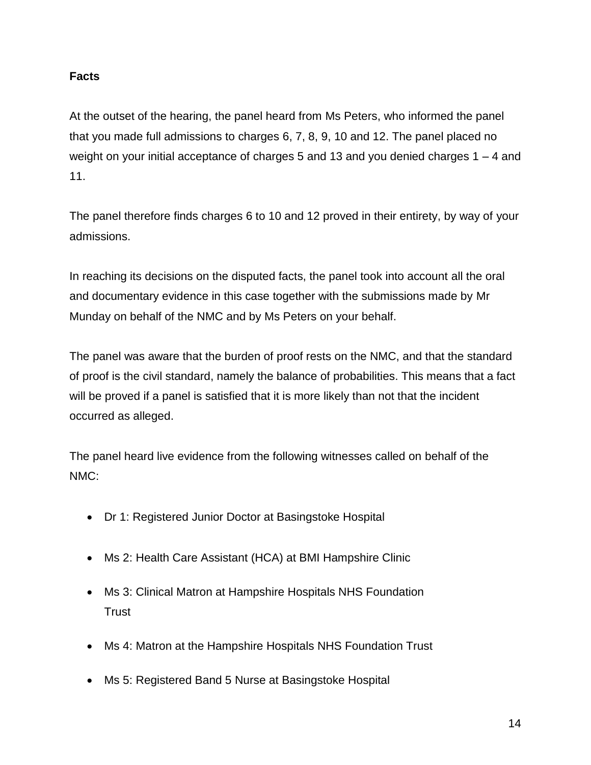# **Facts**

At the outset of the hearing, the panel heard from Ms Peters, who informed the panel that you made full admissions to charges 6, 7, 8, 9, 10 and 12. The panel placed no weight on your initial acceptance of charges 5 and 13 and you denied charges 1 – 4 and 11.

The panel therefore finds charges 6 to 10 and 12 proved in their entirety, by way of your admissions.

In reaching its decisions on the disputed facts, the panel took into account all the oral and documentary evidence in this case together with the submissions made by Mr Munday on behalf of the NMC and by Ms Peters on your behalf.

The panel was aware that the burden of proof rests on the NMC, and that the standard of proof is the civil standard, namely the balance of probabilities. This means that a fact will be proved if a panel is satisfied that it is more likely than not that the incident occurred as alleged.

The panel heard live evidence from the following witnesses called on behalf of the NMC:

- Dr 1: Registered Junior Doctor at Basingstoke Hospital
- Ms 2: Health Care Assistant (HCA) at BMI Hampshire Clinic
- Ms 3: Clinical Matron at Hampshire Hospitals NHS Foundation **Trust**
- Ms 4: Matron at the Hampshire Hospitals NHS Foundation Trust
- Ms 5: Registered Band 5 Nurse at Basingstoke Hospital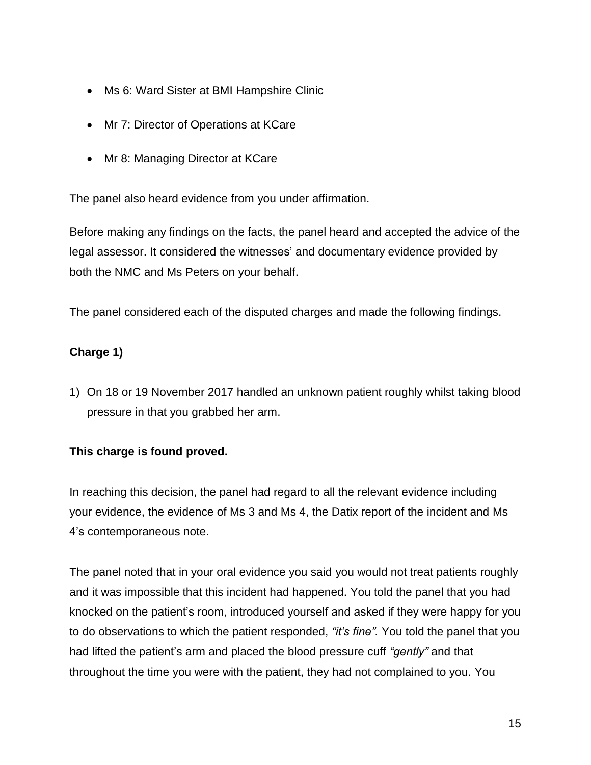- Ms 6: Ward Sister at BMI Hampshire Clinic
- Mr 7: Director of Operations at KCare
- Mr 8: Managing Director at KCare

The panel also heard evidence from you under affirmation.

Before making any findings on the facts, the panel heard and accepted the advice of the legal assessor. It considered the witnesses' and documentary evidence provided by both the NMC and Ms Peters on your behalf.

The panel considered each of the disputed charges and made the following findings.

# **Charge 1)**

1) On 18 or 19 November 2017 handled an unknown patient roughly whilst taking blood pressure in that you grabbed her arm.

## **This charge is found proved.**

In reaching this decision, the panel had regard to all the relevant evidence including your evidence, the evidence of Ms 3 and Ms 4, the Datix report of the incident and Ms 4's contemporaneous note.

The panel noted that in your oral evidence you said you would not treat patients roughly and it was impossible that this incident had happened. You told the panel that you had knocked on the patient's room, introduced yourself and asked if they were happy for you to do observations to which the patient responded, *"it's fine".* You told the panel that you had lifted the patient's arm and placed the blood pressure cuff *"gently"* and that throughout the time you were with the patient, they had not complained to you. You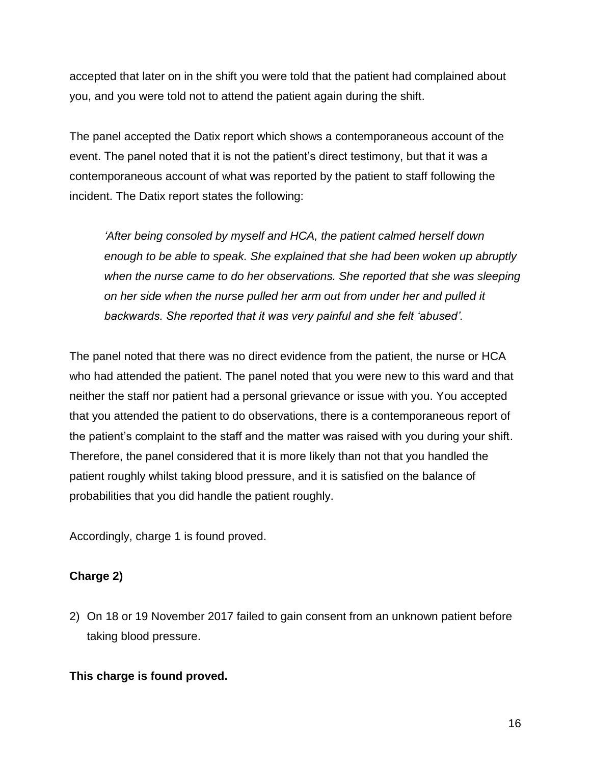accepted that later on in the shift you were told that the patient had complained about you, and you were told not to attend the patient again during the shift.

The panel accepted the Datix report which shows a contemporaneous account of the event. The panel noted that it is not the patient's direct testimony, but that it was a contemporaneous account of what was reported by the patient to staff following the incident. The Datix report states the following:

*'After being consoled by myself and HCA, the patient calmed herself down enough to be able to speak. She explained that she had been woken up abruptly when the nurse came to do her observations. She reported that she was sleeping on her side when the nurse pulled her arm out from under her and pulled it backwards. She reported that it was very painful and she felt 'abused'.* 

The panel noted that there was no direct evidence from the patient, the nurse or HCA who had attended the patient. The panel noted that you were new to this ward and that neither the staff nor patient had a personal grievance or issue with you. You accepted that you attended the patient to do observations, there is a contemporaneous report of the patient's complaint to the staff and the matter was raised with you during your shift. Therefore, the panel considered that it is more likely than not that you handled the patient roughly whilst taking blood pressure, and it is satisfied on the balance of probabilities that you did handle the patient roughly.

Accordingly, charge 1 is found proved.

## **Charge 2)**

2) On 18 or 19 November 2017 failed to gain consent from an unknown patient before taking blood pressure.

#### **This charge is found proved.**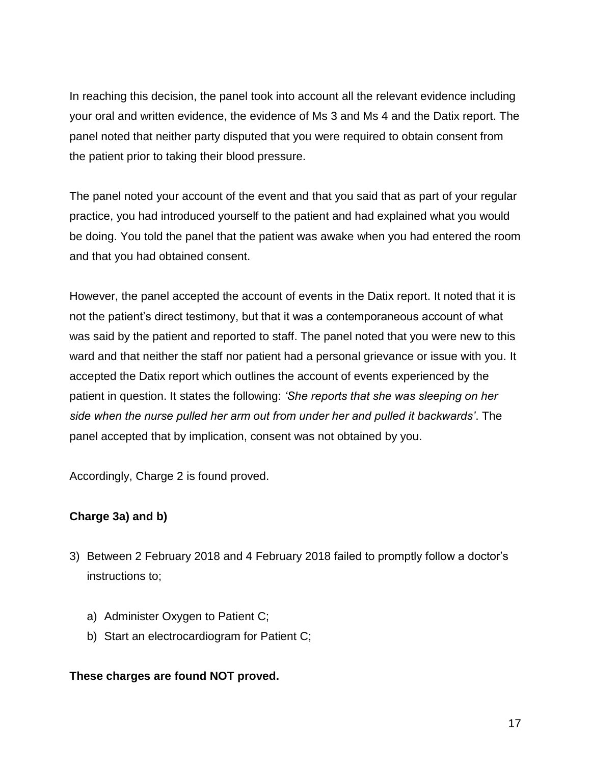In reaching this decision, the panel took into account all the relevant evidence including your oral and written evidence, the evidence of Ms 3 and Ms 4 and the Datix report. The panel noted that neither party disputed that you were required to obtain consent from the patient prior to taking their blood pressure.

The panel noted your account of the event and that you said that as part of your regular practice, you had introduced yourself to the patient and had explained what you would be doing. You told the panel that the patient was awake when you had entered the room and that you had obtained consent.

However, the panel accepted the account of events in the Datix report. It noted that it is not the patient's direct testimony, but that it was a contemporaneous account of what was said by the patient and reported to staff. The panel noted that you were new to this ward and that neither the staff nor patient had a personal grievance or issue with you. It accepted the Datix report which outlines the account of events experienced by the patient in question. It states the following: *'She reports that she was sleeping on her side when the nurse pulled her arm out from under her and pulled it backwards'*. The panel accepted that by implication, consent was not obtained by you.

Accordingly, Charge 2 is found proved.

## **Charge 3a) and b)**

- 3) Between 2 February 2018 and 4 February 2018 failed to promptly follow a doctor's instructions to;
	- a) Administer Oxygen to Patient C;
	- b) Start an electrocardiogram for Patient C;

## **These charges are found NOT proved.**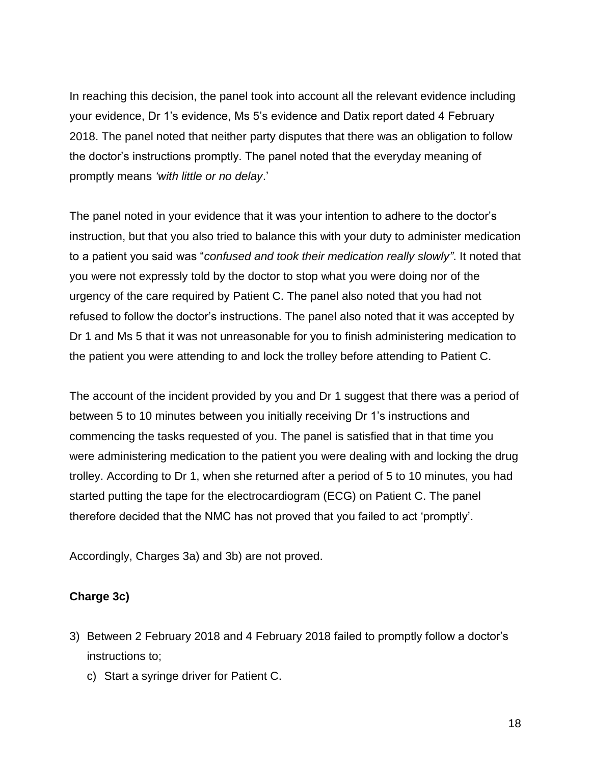In reaching this decision, the panel took into account all the relevant evidence including your evidence, Dr 1's evidence, Ms 5's evidence and Datix report dated 4 February 2018. The panel noted that neither party disputes that there was an obligation to follow the doctor's instructions promptly. The panel noted that the everyday meaning of promptly means *'with little or no delay*.'

The panel noted in your evidence that it was your intention to adhere to the doctor's instruction, but that you also tried to balance this with your duty to administer medication to a patient you said was "*confused and took their medication really slowly"*. It noted that you were not expressly told by the doctor to stop what you were doing nor of the urgency of the care required by Patient C. The panel also noted that you had not refused to follow the doctor's instructions. The panel also noted that it was accepted by Dr 1 and Ms 5 that it was not unreasonable for you to finish administering medication to the patient you were attending to and lock the trolley before attending to Patient C.

The account of the incident provided by you and Dr 1 suggest that there was a period of between 5 to 10 minutes between you initially receiving Dr 1's instructions and commencing the tasks requested of you. The panel is satisfied that in that time you were administering medication to the patient you were dealing with and locking the drug trolley. According to Dr 1, when she returned after a period of 5 to 10 minutes, you had started putting the tape for the electrocardiogram (ECG) on Patient C. The panel therefore decided that the NMC has not proved that you failed to act 'promptly'.

Accordingly, Charges 3a) and 3b) are not proved.

#### **Charge 3c)**

- 3) Between 2 February 2018 and 4 February 2018 failed to promptly follow a doctor's instructions to;
	- c) Start a syringe driver for Patient C.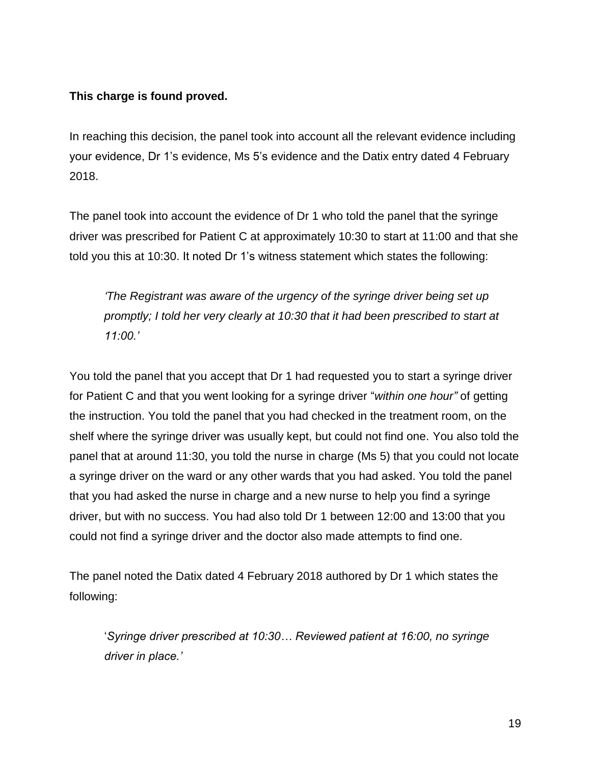## **This charge is found proved.**

In reaching this decision, the panel took into account all the relevant evidence including your evidence, Dr 1's evidence, Ms 5's evidence and the Datix entry dated 4 February 2018.

The panel took into account the evidence of Dr 1 who told the panel that the syringe driver was prescribed for Patient C at approximately 10:30 to start at 11:00 and that she told you this at 10:30. It noted Dr 1's witness statement which states the following:

*'The Registrant was aware of the urgency of the syringe driver being set up promptly; I told her very clearly at 10:30 that it had been prescribed to start at 11:00.'*

You told the panel that you accept that Dr 1 had requested you to start a syringe driver for Patient C and that you went looking for a syringe driver "*within one hour"* of getting the instruction. You told the panel that you had checked in the treatment room, on the shelf where the syringe driver was usually kept, but could not find one. You also told the panel that at around 11:30, you told the nurse in charge (Ms 5) that you could not locate a syringe driver on the ward or any other wards that you had asked. You told the panel that you had asked the nurse in charge and a new nurse to help you find a syringe driver, but with no success. You had also told Dr 1 between 12:00 and 13:00 that you could not find a syringe driver and the doctor also made attempts to find one.

The panel noted the Datix dated 4 February 2018 authored by Dr 1 which states the following:

'*Syringe driver prescribed at 10:30… Reviewed patient at 16:00, no syringe driver in place.'*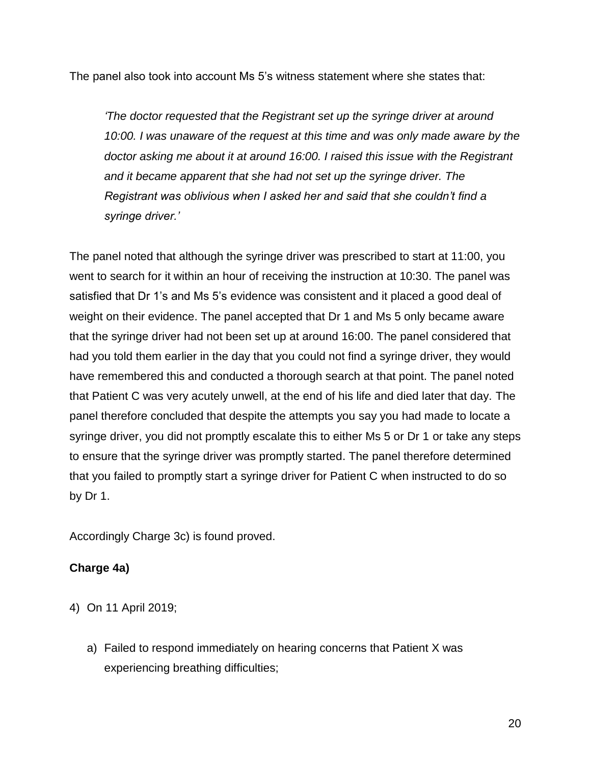The panel also took into account Ms 5's witness statement where she states that:

*'The doctor requested that the Registrant set up the syringe driver at around 10:00. I was unaware of the request at this time and was only made aware by the doctor asking me about it at around 16:00. I raised this issue with the Registrant and it became apparent that she had not set up the syringe driver. The Registrant was oblivious when I asked her and said that she couldn't find a syringe driver.'* 

The panel noted that although the syringe driver was prescribed to start at 11:00, you went to search for it within an hour of receiving the instruction at 10:30. The panel was satisfied that Dr 1's and Ms 5's evidence was consistent and it placed a good deal of weight on their evidence. The panel accepted that Dr 1 and Ms 5 only became aware that the syringe driver had not been set up at around 16:00. The panel considered that had you told them earlier in the day that you could not find a syringe driver, they would have remembered this and conducted a thorough search at that point. The panel noted that Patient C was very acutely unwell, at the end of his life and died later that day. The panel therefore concluded that despite the attempts you say you had made to locate a syringe driver, you did not promptly escalate this to either Ms 5 or Dr 1 or take any steps to ensure that the syringe driver was promptly started. The panel therefore determined that you failed to promptly start a syringe driver for Patient C when instructed to do so by Dr 1.

Accordingly Charge 3c) is found proved.

## **Charge 4a)**

- 4) On 11 April 2019;
	- a) Failed to respond immediately on hearing concerns that Patient X was experiencing breathing difficulties;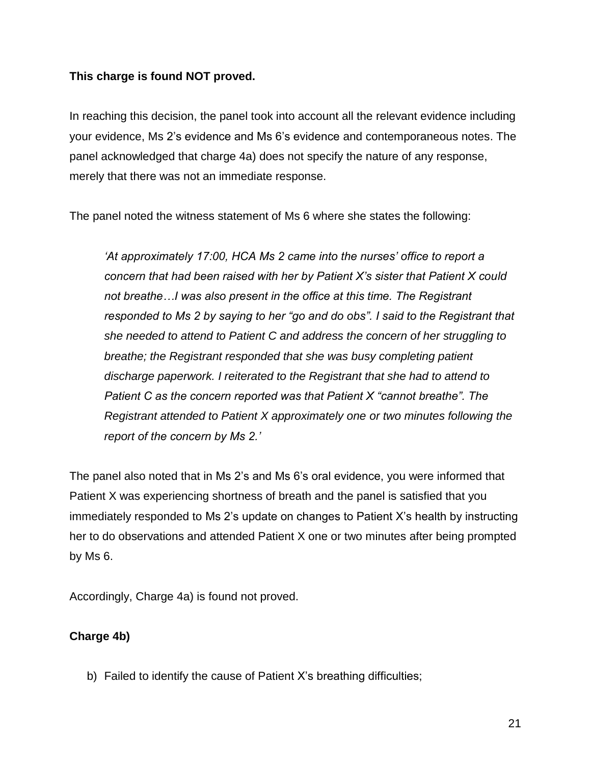#### **This charge is found NOT proved.**

In reaching this decision, the panel took into account all the relevant evidence including your evidence, Ms 2's evidence and Ms 6's evidence and contemporaneous notes. The panel acknowledged that charge 4a) does not specify the nature of any response, merely that there was not an immediate response.

The panel noted the witness statement of Ms 6 where she states the following:

*'At approximately 17:00, HCA Ms 2 came into the nurses' office to report a concern that had been raised with her by Patient X's sister that Patient X could not breathe…I was also present in the office at this time. The Registrant responded to Ms 2 by saying to her "go and do obs". I said to the Registrant that she needed to attend to Patient C and address the concern of her struggling to breathe; the Registrant responded that she was busy completing patient discharge paperwork. I reiterated to the Registrant that she had to attend to Patient C as the concern reported was that Patient X "cannot breathe". The Registrant attended to Patient X approximately one or two minutes following the report of the concern by Ms 2.'*

The panel also noted that in Ms 2's and Ms 6's oral evidence, you were informed that Patient X was experiencing shortness of breath and the panel is satisfied that you immediately responded to Ms 2's update on changes to Patient X's health by instructing her to do observations and attended Patient X one or two minutes after being prompted by Ms 6.

Accordingly, Charge 4a) is found not proved.

## **Charge 4b)**

b) Failed to identify the cause of Patient X's breathing difficulties;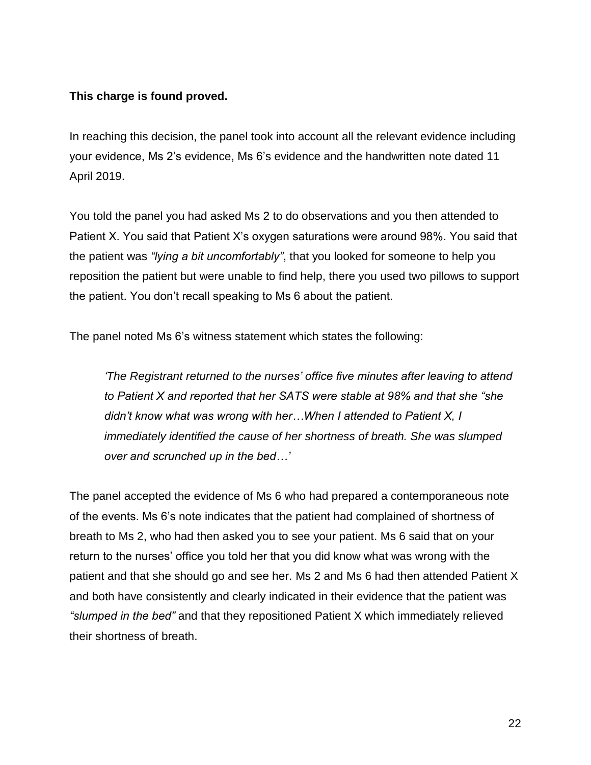## **This charge is found proved.**

In reaching this decision, the panel took into account all the relevant evidence including your evidence, Ms 2's evidence, Ms 6's evidence and the handwritten note dated 11 April 2019.

You told the panel you had asked Ms 2 to do observations and you then attended to Patient X. You said that Patient X's oxygen saturations were around 98%. You said that the patient was *"lying a bit uncomfortably"*, that you looked for someone to help you reposition the patient but were unable to find help, there you used two pillows to support the patient. You don't recall speaking to Ms 6 about the patient.

The panel noted Ms 6's witness statement which states the following:

*'The Registrant returned to the nurses' office five minutes after leaving to attend to Patient X and reported that her SATS were stable at 98% and that she "she didn't know what was wrong with her…When I attended to Patient X, I immediately identified the cause of her shortness of breath. She was slumped over and scrunched up in the bed…'*

The panel accepted the evidence of Ms 6 who had prepared a contemporaneous note of the events. Ms 6's note indicates that the patient had complained of shortness of breath to Ms 2, who had then asked you to see your patient. Ms 6 said that on your return to the nurses' office you told her that you did know what was wrong with the patient and that she should go and see her. Ms 2 and Ms 6 had then attended Patient X and both have consistently and clearly indicated in their evidence that the patient was *"slumped in the bed"* and that they repositioned Patient X which immediately relieved their shortness of breath.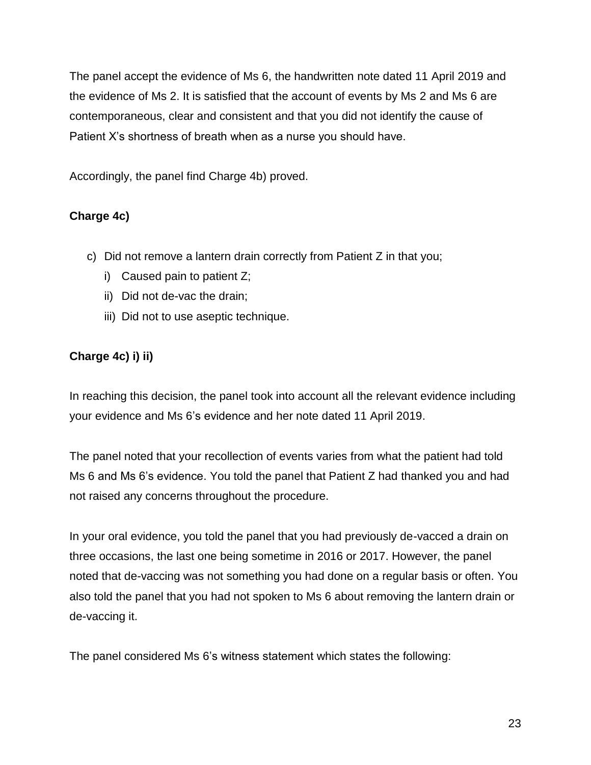The panel accept the evidence of Ms 6, the handwritten note dated 11 April 2019 and the evidence of Ms 2. It is satisfied that the account of events by Ms 2 and Ms 6 are contemporaneous, clear and consistent and that you did not identify the cause of Patient X's shortness of breath when as a nurse you should have.

Accordingly, the panel find Charge 4b) proved.

# **Charge 4c)**

- c) Did not remove a lantern drain correctly from Patient Z in that you;
	- i) Caused pain to patient Z;
	- ii) Did not de-vac the drain;
	- iii) Did not to use aseptic technique.

# **Charge 4c) i) ii)**

In reaching this decision, the panel took into account all the relevant evidence including your evidence and Ms 6's evidence and her note dated 11 April 2019.

The panel noted that your recollection of events varies from what the patient had told Ms 6 and Ms 6's evidence. You told the panel that Patient Z had thanked you and had not raised any concerns throughout the procedure.

In your oral evidence, you told the panel that you had previously de-vacced a drain on three occasions, the last one being sometime in 2016 or 2017. However, the panel noted that de-vaccing was not something you had done on a regular basis or often. You also told the panel that you had not spoken to Ms 6 about removing the lantern drain or de-vaccing it.

The panel considered Ms 6's witness statement which states the following: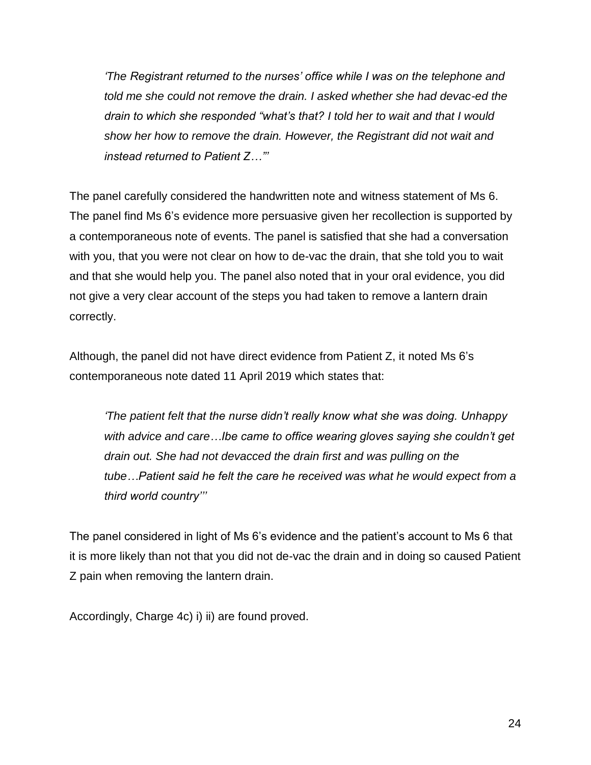*'The Registrant returned to the nurses' office while I was on the telephone and told me she could not remove the drain. I asked whether she had devac-ed the drain to which she responded "what's that? I told her to wait and that I would show her how to remove the drain. However, the Registrant did not wait and instead returned to Patient Z…"'* 

The panel carefully considered the handwritten note and witness statement of Ms 6. The panel find Ms 6's evidence more persuasive given her recollection is supported by a contemporaneous note of events. The panel is satisfied that she had a conversation with you, that you were not clear on how to de-vac the drain, that she told you to wait and that she would help you. The panel also noted that in your oral evidence, you did not give a very clear account of the steps you had taken to remove a lantern drain correctly.

Although, the panel did not have direct evidence from Patient Z, it noted Ms 6's contemporaneous note dated 11 April 2019 which states that:

*'The patient felt that the nurse didn't really know what she was doing. Unhappy with advice and care…Ibe came to office wearing gloves saying she couldn't get drain out. She had not devacced the drain first and was pulling on the tube…Patient said he felt the care he received was what he would expect from a third world country'''* 

The panel considered in light of Ms 6's evidence and the patient's account to Ms 6 that it is more likely than not that you did not de-vac the drain and in doing so caused Patient Z pain when removing the lantern drain.

Accordingly, Charge 4c) i) ii) are found proved.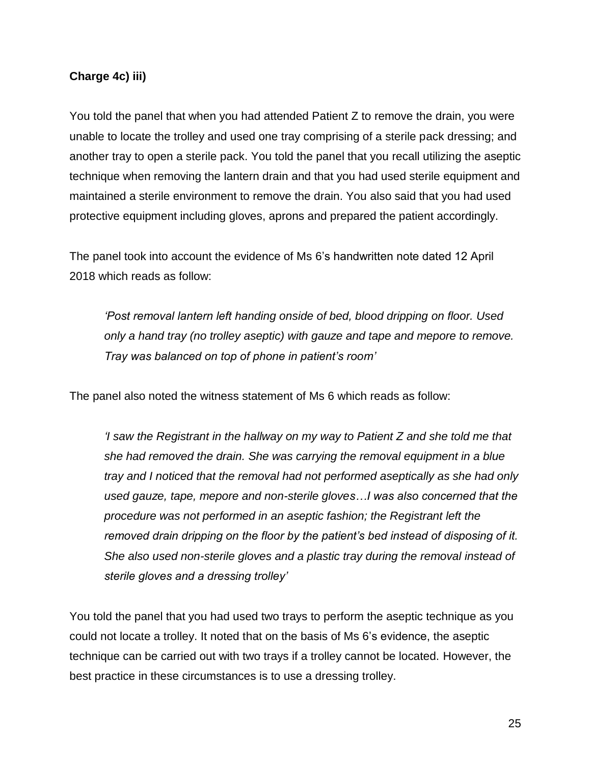#### **Charge 4c) iii)**

You told the panel that when you had attended Patient Z to remove the drain, you were unable to locate the trolley and used one tray comprising of a sterile pack dressing; and another tray to open a sterile pack. You told the panel that you recall utilizing the aseptic technique when removing the lantern drain and that you had used sterile equipment and maintained a sterile environment to remove the drain. You also said that you had used protective equipment including gloves, aprons and prepared the patient accordingly.

The panel took into account the evidence of Ms 6's handwritten note dated 12 April 2018 which reads as follow:

*'Post removal lantern left handing onside of bed, blood dripping on floor. Used only a hand tray (no trolley aseptic) with gauze and tape and mepore to remove. Tray was balanced on top of phone in patient's room'*

The panel also noted the witness statement of Ms 6 which reads as follow:

*'I saw the Registrant in the hallway on my way to Patient Z and she told me that she had removed the drain. She was carrying the removal equipment in a blue tray and I noticed that the removal had not performed aseptically as she had only used gauze, tape, mepore and non-sterile gloves…I was also concerned that the procedure was not performed in an aseptic fashion; the Registrant left the removed drain dripping on the floor by the patient's bed instead of disposing of it. She also used non-sterile gloves and a plastic tray during the removal instead of sterile gloves and a dressing trolley'*

You told the panel that you had used two trays to perform the aseptic technique as you could not locate a trolley. It noted that on the basis of Ms 6's evidence, the aseptic technique can be carried out with two trays if a trolley cannot be located. However, the best practice in these circumstances is to use a dressing trolley.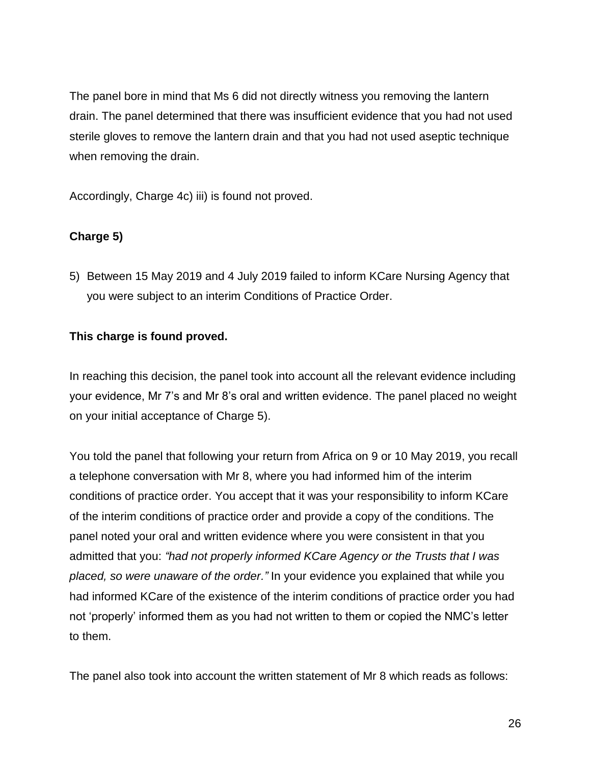The panel bore in mind that Ms 6 did not directly witness you removing the lantern drain. The panel determined that there was insufficient evidence that you had not used sterile gloves to remove the lantern drain and that you had not used aseptic technique when removing the drain.

Accordingly, Charge 4c) iii) is found not proved.

# **Charge 5)**

5) Between 15 May 2019 and 4 July 2019 failed to inform KCare Nursing Agency that you were subject to an interim Conditions of Practice Order.

## **This charge is found proved.**

In reaching this decision, the panel took into account all the relevant evidence including your evidence, Mr 7's and Mr 8's oral and written evidence. The panel placed no weight on your initial acceptance of Charge 5).

You told the panel that following your return from Africa on 9 or 10 May 2019, you recall a telephone conversation with Mr 8, where you had informed him of the interim conditions of practice order. You accept that it was your responsibility to inform KCare of the interim conditions of practice order and provide a copy of the conditions. The panel noted your oral and written evidence where you were consistent in that you admitted that you: *"had not properly informed KCare Agency or the Trusts that I was placed, so were unaware of the order."* In your evidence you explained that while you had informed KCare of the existence of the interim conditions of practice order you had not 'properly' informed them as you had not written to them or copied the NMC's letter to them.

The panel also took into account the written statement of Mr 8 which reads as follows: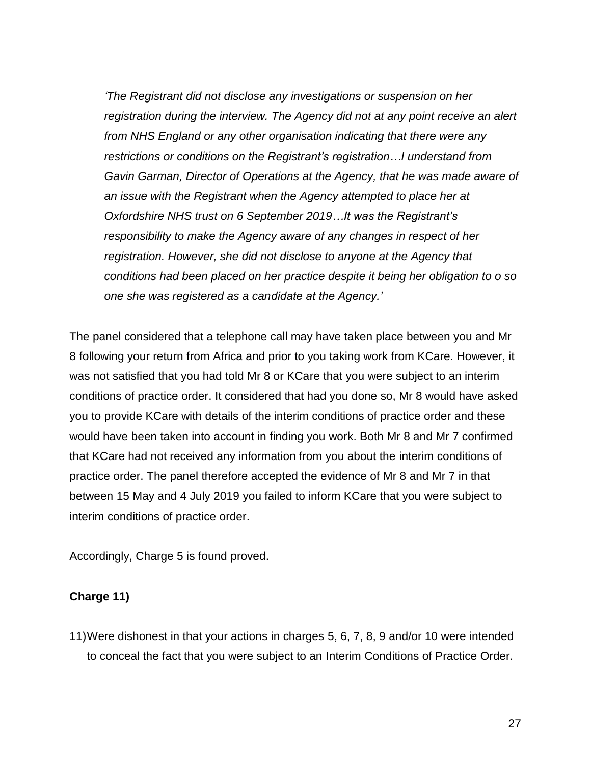*'The Registrant did not disclose any investigations or suspension on her registration during the interview. The Agency did not at any point receive an alert from NHS England or any other organisation indicating that there were any restrictions or conditions on the Registrant's registration…I understand from Gavin Garman, Director of Operations at the Agency, that he was made aware of an issue with the Registrant when the Agency attempted to place her at Oxfordshire NHS trust on 6 September 2019…It was the Registrant's responsibility to make the Agency aware of any changes in respect of her registration. However, she did not disclose to anyone at the Agency that conditions had been placed on her practice despite it being her obligation to o so one she was registered as a candidate at the Agency.'* 

The panel considered that a telephone call may have taken place between you and Mr 8 following your return from Africa and prior to you taking work from KCare. However, it was not satisfied that you had told Mr 8 or KCare that you were subject to an interim conditions of practice order. It considered that had you done so, Mr 8 would have asked you to provide KCare with details of the interim conditions of practice order and these would have been taken into account in finding you work. Both Mr 8 and Mr 7 confirmed that KCare had not received any information from you about the interim conditions of practice order. The panel therefore accepted the evidence of Mr 8 and Mr 7 in that between 15 May and 4 July 2019 you failed to inform KCare that you were subject to interim conditions of practice order.

Accordingly, Charge 5 is found proved.

#### **Charge 11)**

11)Were dishonest in that your actions in charges 5, 6, 7, 8, 9 and/or 10 were intended to conceal the fact that you were subject to an Interim Conditions of Practice Order.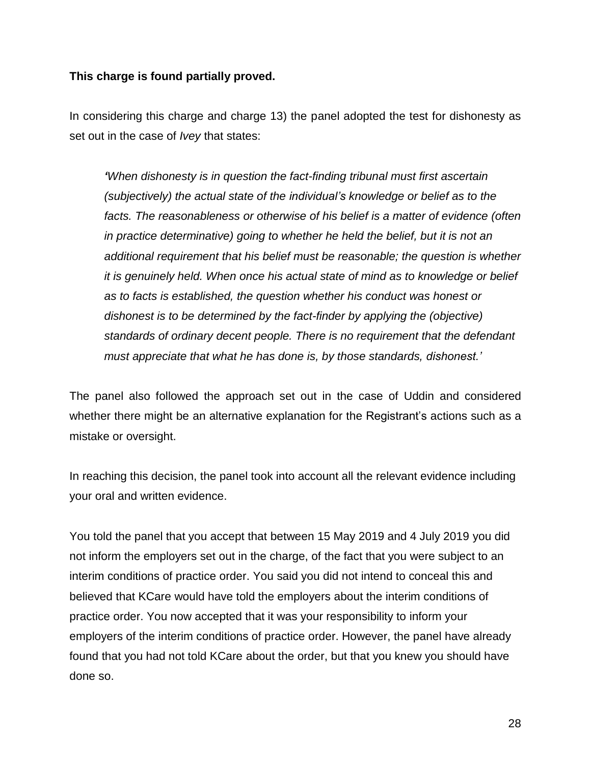#### **This charge is found partially proved.**

In considering this charge and charge 13) the panel adopted the test for dishonesty as set out in the case of *Ivey* that states:

*'When dishonesty is in question the fact-finding tribunal must first ascertain (subjectively) the actual state of the individual's knowledge or belief as to the facts. The reasonableness or otherwise of his belief is a matter of evidence (often in practice determinative) going to whether he held the belief, but it is not an additional requirement that his belief must be reasonable; the question is whether it is genuinely held. When once his actual state of mind as to knowledge or belief as to facts is established, the question whether his conduct was honest or dishonest is to be determined by the fact-finder by applying the (objective) standards of ordinary decent people. There is no requirement that the defendant must appreciate that what he has done is, by those standards, dishonest.'*

The panel also followed the approach set out in the case of Uddin and considered whether there might be an alternative explanation for the Registrant's actions such as a mistake or oversight.

In reaching this decision, the panel took into account all the relevant evidence including your oral and written evidence.

You told the panel that you accept that between 15 May 2019 and 4 July 2019 you did not inform the employers set out in the charge, of the fact that you were subject to an interim conditions of practice order. You said you did not intend to conceal this and believed that KCare would have told the employers about the interim conditions of practice order. You now accepted that it was your responsibility to inform your employers of the interim conditions of practice order. However, the panel have already found that you had not told KCare about the order, but that you knew you should have done so.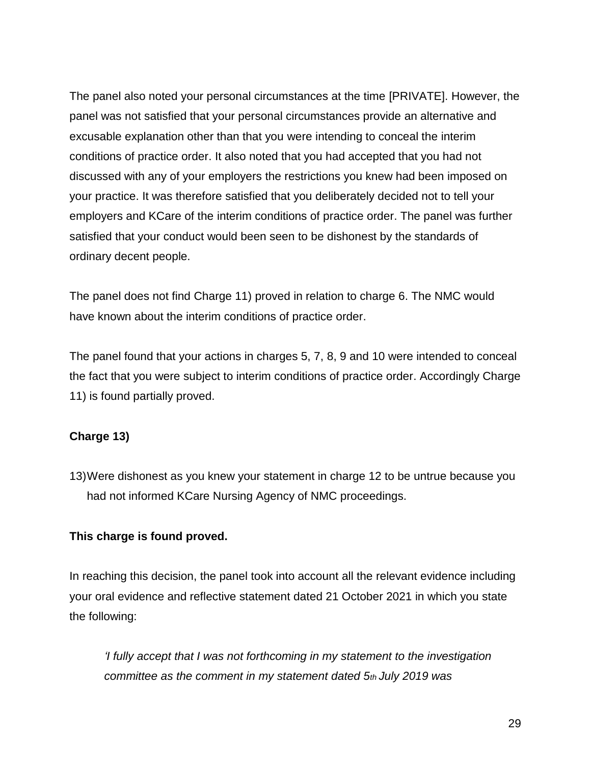The panel also noted your personal circumstances at the time [PRIVATE]. However, the panel was not satisfied that your personal circumstances provide an alternative and excusable explanation other than that you were intending to conceal the interim conditions of practice order. It also noted that you had accepted that you had not discussed with any of your employers the restrictions you knew had been imposed on your practice. It was therefore satisfied that you deliberately decided not to tell your employers and KCare of the interim conditions of practice order. The panel was further satisfied that your conduct would been seen to be dishonest by the standards of ordinary decent people.

The panel does not find Charge 11) proved in relation to charge 6. The NMC would have known about the interim conditions of practice order.

The panel found that your actions in charges 5, 7, 8, 9 and 10 were intended to conceal the fact that you were subject to interim conditions of practice order. Accordingly Charge 11) is found partially proved.

## **Charge 13)**

13)Were dishonest as you knew your statement in charge 12 to be untrue because you had not informed KCare Nursing Agency of NMC proceedings.

#### **This charge is found proved.**

In reaching this decision, the panel took into account all the relevant evidence including your oral evidence and reflective statement dated 21 October 2021 in which you state the following:

*'I fully accept that I was not forthcoming in my statement to the investigation committee as the comment in my statement dated 5th July 2019 was*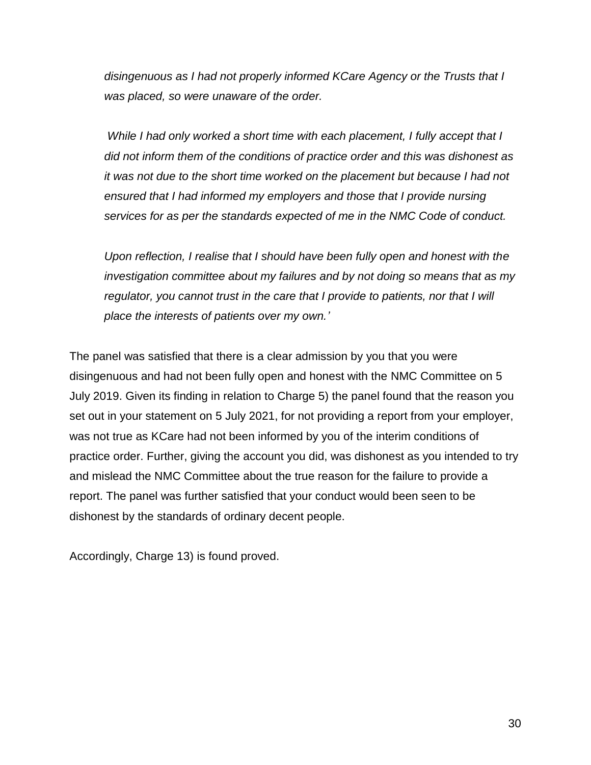*disingenuous as I had not properly informed KCare Agency or the Trusts that I was placed, so were unaware of the order.*

*While I had only worked a short time with each placement, I fully accept that I did not inform them of the conditions of practice order and this was dishonest as it was not due to the short time worked on the placement but because I had not ensured that I had informed my employers and those that I provide nursing services for as per the standards expected of me in the NMC Code of conduct.*

*Upon reflection, I realise that I should have been fully open and honest with the investigation committee about my failures and by not doing so means that as my regulator, you cannot trust in the care that I provide to patients, nor that I will place the interests of patients over my own.'*

The panel was satisfied that there is a clear admission by you that you were disingenuous and had not been fully open and honest with the NMC Committee on 5 July 2019. Given its finding in relation to Charge 5) the panel found that the reason you set out in your statement on 5 July 2021, for not providing a report from your employer, was not true as KCare had not been informed by you of the interim conditions of practice order. Further, giving the account you did, was dishonest as you intended to try and mislead the NMC Committee about the true reason for the failure to provide a report. The panel was further satisfied that your conduct would been seen to be dishonest by the standards of ordinary decent people.

Accordingly, Charge 13) is found proved.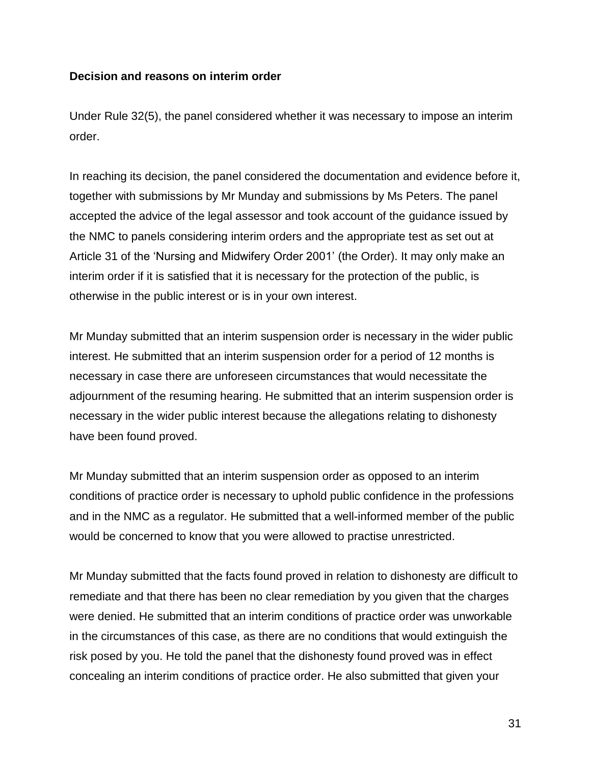#### **Decision and reasons on interim order**

Under Rule 32(5), the panel considered whether it was necessary to impose an interim order.

In reaching its decision, the panel considered the documentation and evidence before it, together with submissions by Mr Munday and submissions by Ms Peters. The panel accepted the advice of the legal assessor and took account of the guidance issued by the NMC to panels considering interim orders and the appropriate test as set out at Article 31 of the 'Nursing and Midwifery Order 2001' (the Order). It may only make an interim order if it is satisfied that it is necessary for the protection of the public, is otherwise in the public interest or is in your own interest.

Mr Munday submitted that an interim suspension order is necessary in the wider public interest. He submitted that an interim suspension order for a period of 12 months is necessary in case there are unforeseen circumstances that would necessitate the adjournment of the resuming hearing. He submitted that an interim suspension order is necessary in the wider public interest because the allegations relating to dishonesty have been found proved.

Mr Munday submitted that an interim suspension order as opposed to an interim conditions of practice order is necessary to uphold public confidence in the professions and in the NMC as a regulator. He submitted that a well-informed member of the public would be concerned to know that you were allowed to practise unrestricted.

Mr Munday submitted that the facts found proved in relation to dishonesty are difficult to remediate and that there has been no clear remediation by you given that the charges were denied. He submitted that an interim conditions of practice order was unworkable in the circumstances of this case, as there are no conditions that would extinguish the risk posed by you. He told the panel that the dishonesty found proved was in effect concealing an interim conditions of practice order. He also submitted that given your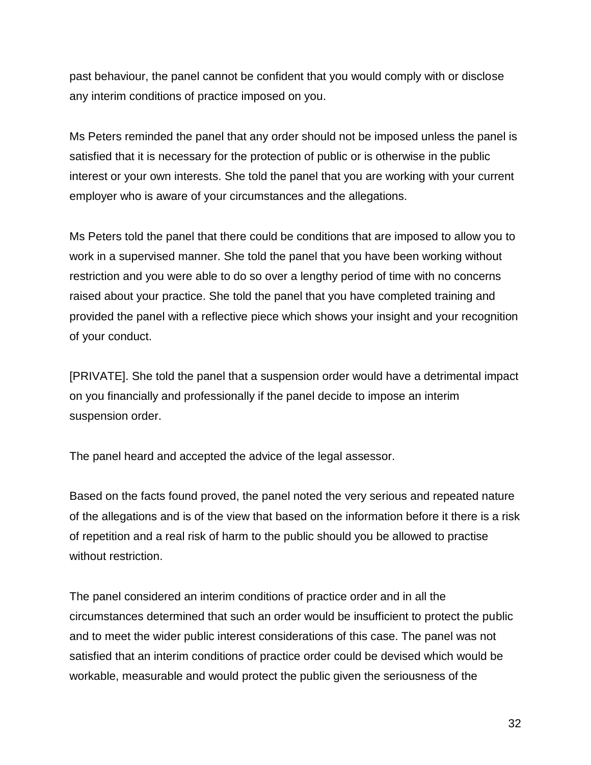past behaviour, the panel cannot be confident that you would comply with or disclose any interim conditions of practice imposed on you.

Ms Peters reminded the panel that any order should not be imposed unless the panel is satisfied that it is necessary for the protection of public or is otherwise in the public interest or your own interests. She told the panel that you are working with your current employer who is aware of your circumstances and the allegations.

Ms Peters told the panel that there could be conditions that are imposed to allow you to work in a supervised manner. She told the panel that you have been working without restriction and you were able to do so over a lengthy period of time with no concerns raised about your practice. She told the panel that you have completed training and provided the panel with a reflective piece which shows your insight and your recognition of your conduct.

[PRIVATE]. She told the panel that a suspension order would have a detrimental impact on you financially and professionally if the panel decide to impose an interim suspension order.

The panel heard and accepted the advice of the legal assessor.

Based on the facts found proved, the panel noted the very serious and repeated nature of the allegations and is of the view that based on the information before it there is a risk of repetition and a real risk of harm to the public should you be allowed to practise without restriction.

The panel considered an interim conditions of practice order and in all the circumstances determined that such an order would be insufficient to protect the public and to meet the wider public interest considerations of this case. The panel was not satisfied that an interim conditions of practice order could be devised which would be workable, measurable and would protect the public given the seriousness of the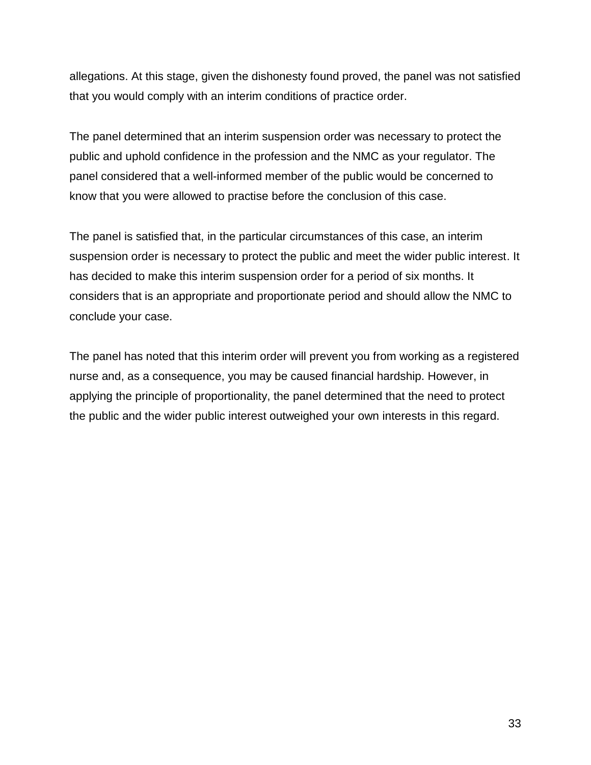allegations. At this stage, given the dishonesty found proved, the panel was not satisfied that you would comply with an interim conditions of practice order.

The panel determined that an interim suspension order was necessary to protect the public and uphold confidence in the profession and the NMC as your regulator. The panel considered that a well-informed member of the public would be concerned to know that you were allowed to practise before the conclusion of this case.

The panel is satisfied that, in the particular circumstances of this case, an interim suspension order is necessary to protect the public and meet the wider public interest. It has decided to make this interim suspension order for a period of six months. It considers that is an appropriate and proportionate period and should allow the NMC to conclude your case.

The panel has noted that this interim order will prevent you from working as a registered nurse and, as a consequence, you may be caused financial hardship. However, in applying the principle of proportionality, the panel determined that the need to protect the public and the wider public interest outweighed your own interests in this regard.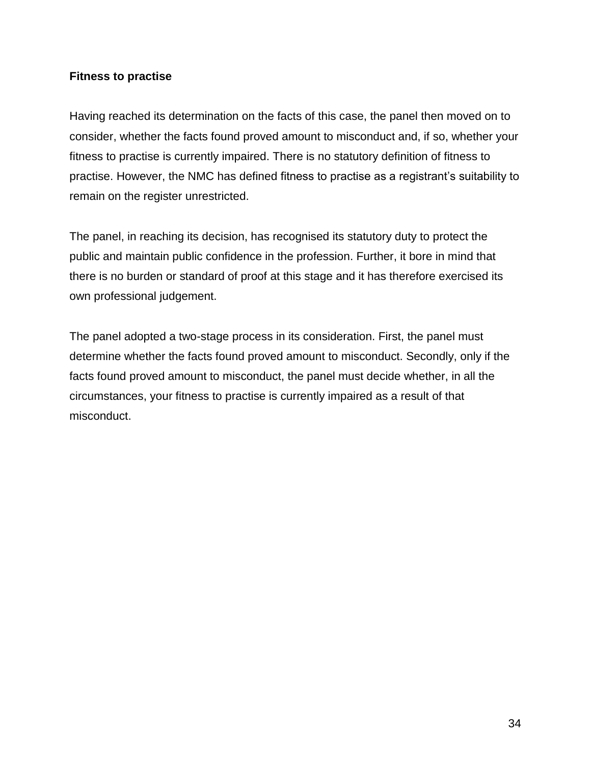#### **Fitness to practise**

Having reached its determination on the facts of this case, the panel then moved on to consider, whether the facts found proved amount to misconduct and, if so, whether your fitness to practise is currently impaired. There is no statutory definition of fitness to practise. However, the NMC has defined fitness to practise as a registrant's suitability to remain on the register unrestricted.

The panel, in reaching its decision, has recognised its statutory duty to protect the public and maintain public confidence in the profession. Further, it bore in mind that there is no burden or standard of proof at this stage and it has therefore exercised its own professional judgement.

The panel adopted a two-stage process in its consideration. First, the panel must determine whether the facts found proved amount to misconduct. Secondly, only if the facts found proved amount to misconduct, the panel must decide whether, in all the circumstances, your fitness to practise is currently impaired as a result of that misconduct.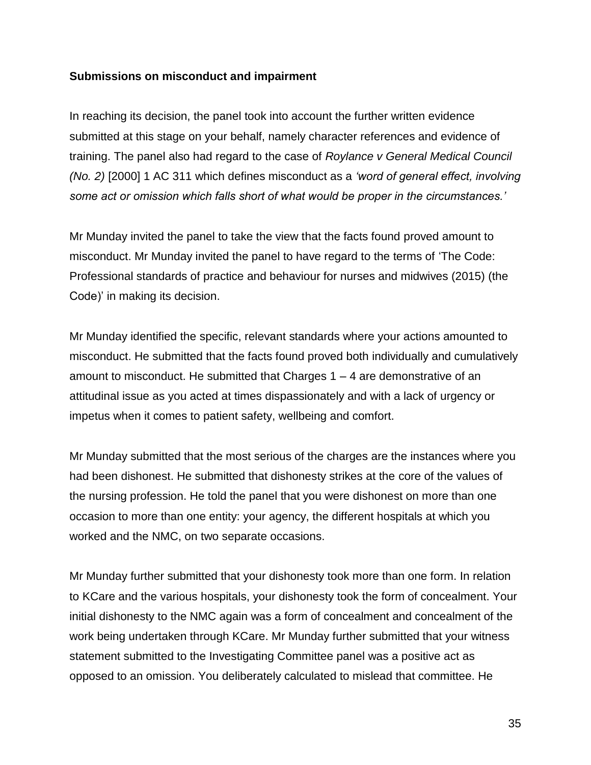#### **Submissions on misconduct and impairment**

In reaching its decision, the panel took into account the further written evidence submitted at this stage on your behalf, namely character references and evidence of training. The panel also had regard to the case of *Roylance v General Medical Council (No. 2)* [2000] 1 AC 311 which defines misconduct as a *'word of general effect, involving some act or omission which falls short of what would be proper in the circumstances.'*

Mr Munday invited the panel to take the view that the facts found proved amount to misconduct. Mr Munday invited the panel to have regard to the terms of 'The Code: Professional standards of practice and behaviour for nurses and midwives (2015) (the Code)' in making its decision.

Mr Munday identified the specific, relevant standards where your actions amounted to misconduct. He submitted that the facts found proved both individually and cumulatively amount to misconduct. He submitted that Charges 1 – 4 are demonstrative of an attitudinal issue as you acted at times dispassionately and with a lack of urgency or impetus when it comes to patient safety, wellbeing and comfort.

Mr Munday submitted that the most serious of the charges are the instances where you had been dishonest. He submitted that dishonesty strikes at the core of the values of the nursing profession. He told the panel that you were dishonest on more than one occasion to more than one entity: your agency, the different hospitals at which you worked and the NMC, on two separate occasions.

Mr Munday further submitted that your dishonesty took more than one form. In relation to KCare and the various hospitals, your dishonesty took the form of concealment. Your initial dishonesty to the NMC again was a form of concealment and concealment of the work being undertaken through KCare. Mr Munday further submitted that your witness statement submitted to the Investigating Committee panel was a positive act as opposed to an omission. You deliberately calculated to mislead that committee. He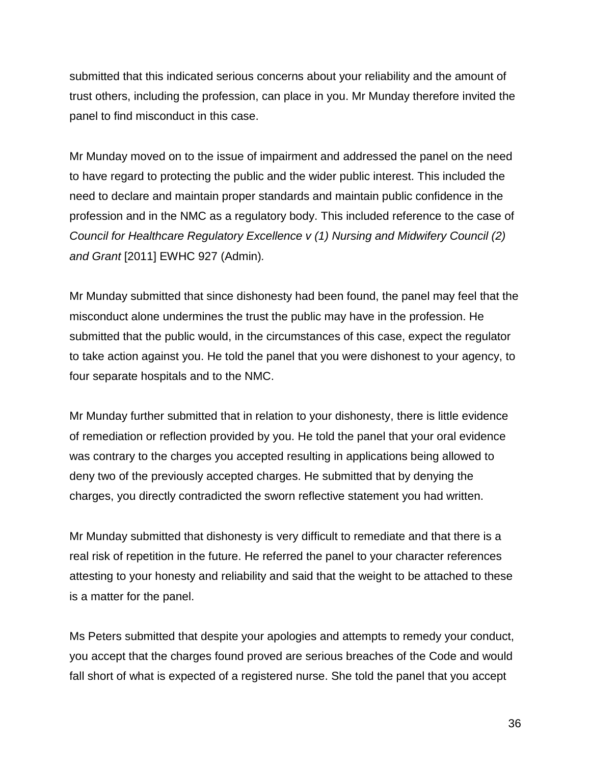submitted that this indicated serious concerns about your reliability and the amount of trust others, including the profession, can place in you. Mr Munday therefore invited the panel to find misconduct in this case.

Mr Munday moved on to the issue of impairment and addressed the panel on the need to have regard to protecting the public and the wider public interest. This included the need to declare and maintain proper standards and maintain public confidence in the profession and in the NMC as a regulatory body. This included reference to the case of *Council for Healthcare Regulatory Excellence v (1) Nursing and Midwifery Council (2) and Grant* [2011] EWHC 927 (Admin)*.* 

Mr Munday submitted that since dishonesty had been found, the panel may feel that the misconduct alone undermines the trust the public may have in the profession. He submitted that the public would, in the circumstances of this case, expect the regulator to take action against you. He told the panel that you were dishonest to your agency, to four separate hospitals and to the NMC.

Mr Munday further submitted that in relation to your dishonesty, there is little evidence of remediation or reflection provided by you. He told the panel that your oral evidence was contrary to the charges you accepted resulting in applications being allowed to deny two of the previously accepted charges. He submitted that by denying the charges, you directly contradicted the sworn reflective statement you had written.

Mr Munday submitted that dishonesty is very difficult to remediate and that there is a real risk of repetition in the future. He referred the panel to your character references attesting to your honesty and reliability and said that the weight to be attached to these is a matter for the panel.

Ms Peters submitted that despite your apologies and attempts to remedy your conduct, you accept that the charges found proved are serious breaches of the Code and would fall short of what is expected of a registered nurse. She told the panel that you accept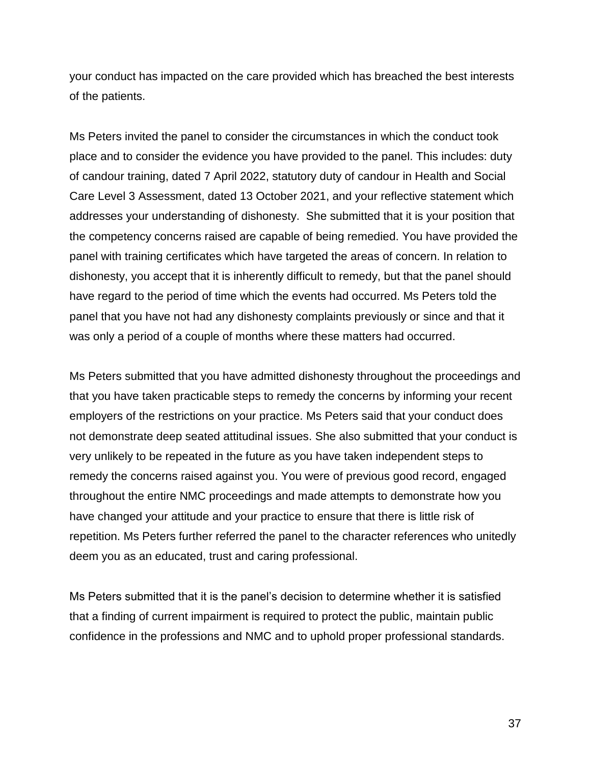your conduct has impacted on the care provided which has breached the best interests of the patients.

Ms Peters invited the panel to consider the circumstances in which the conduct took place and to consider the evidence you have provided to the panel. This includes: duty of candour training, dated 7 April 2022, statutory duty of candour in Health and Social Care Level 3 Assessment, dated 13 October 2021, and your reflective statement which addresses your understanding of dishonesty. She submitted that it is your position that the competency concerns raised are capable of being remedied. You have provided the panel with training certificates which have targeted the areas of concern. In relation to dishonesty, you accept that it is inherently difficult to remedy, but that the panel should have regard to the period of time which the events had occurred. Ms Peters told the panel that you have not had any dishonesty complaints previously or since and that it was only a period of a couple of months where these matters had occurred.

Ms Peters submitted that you have admitted dishonesty throughout the proceedings and that you have taken practicable steps to remedy the concerns by informing your recent employers of the restrictions on your practice. Ms Peters said that your conduct does not demonstrate deep seated attitudinal issues. She also submitted that your conduct is very unlikely to be repeated in the future as you have taken independent steps to remedy the concerns raised against you. You were of previous good record, engaged throughout the entire NMC proceedings and made attempts to demonstrate how you have changed your attitude and your practice to ensure that there is little risk of repetition. Ms Peters further referred the panel to the character references who unitedly deem you as an educated, trust and caring professional.

Ms Peters submitted that it is the panel's decision to determine whether it is satisfied that a finding of current impairment is required to protect the public, maintain public confidence in the professions and NMC and to uphold proper professional standards.

37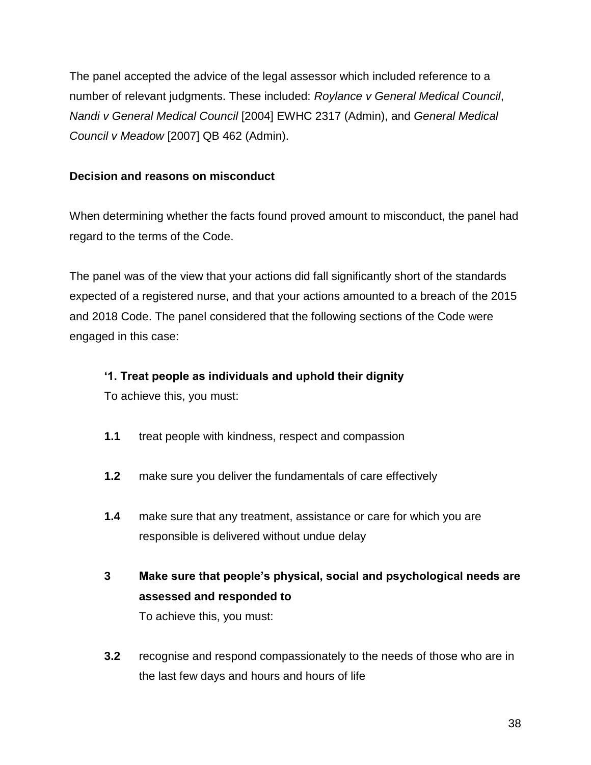The panel accepted the advice of the legal assessor which included reference to a number of relevant judgments. These included: *Roylance v General Medical Council*, *Nandi v General Medical Council* [2004] EWHC 2317 (Admin), and *General Medical Council v Meadow* [2007] QB 462 (Admin).

## **Decision and reasons on misconduct**

When determining whether the facts found proved amount to misconduct, the panel had regard to the terms of the Code.

The panel was of the view that your actions did fall significantly short of the standards expected of a registered nurse, and that your actions amounted to a breach of the 2015 and 2018 Code. The panel considered that the following sections of the Code were engaged in this case:

#### **'1. Treat people as individuals and uphold their dignity**

To achieve this, you must:

- **1.1** treat people with kindness, respect and compassion
- **1.2** make sure you deliver the fundamentals of care effectively
- **1.4** make sure that any treatment, assistance or care for which you are responsible is delivered without undue delay
- **3 Make sure that people's physical, social and psychological needs are assessed and responded to** To achieve this, you must:
- **3.2** recognise and respond compassionately to the needs of those who are in the last few days and hours and hours of life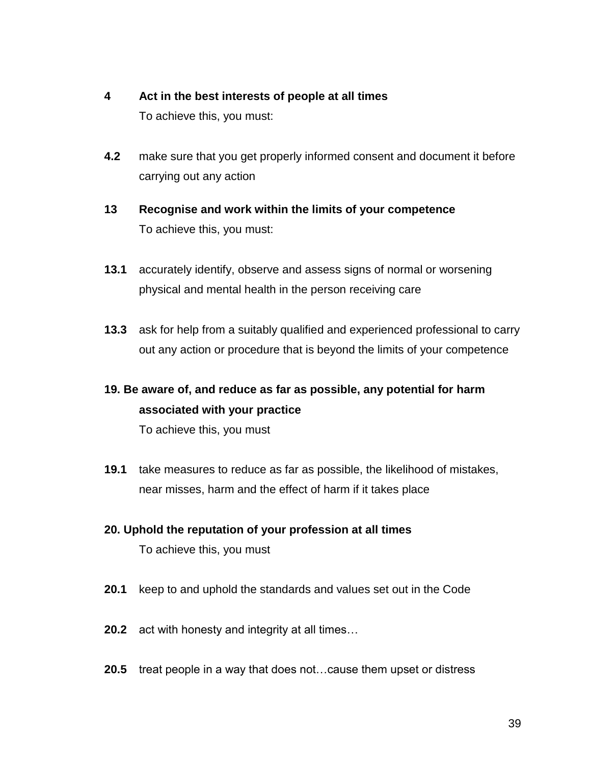# **4 Act in the best interests of people at all times** To achieve this, you must:

- **4.2** make sure that you get properly informed consent and document it before carrying out any action
- **13 Recognise and work within the limits of your competence**  To achieve this, you must:
- **13.1** accurately identify, observe and assess signs of normal or worsening physical and mental health in the person receiving care
- **13.3** ask for help from a suitably qualified and experienced professional to carry out any action or procedure that is beyond the limits of your competence

# **19. Be aware of, and reduce as far as possible, any potential for harm associated with your practice**

To achieve this, you must

- **19.1** take measures to reduce as far as possible, the likelihood of mistakes, near misses, harm and the effect of harm if it takes place
- **20. Uphold the reputation of your profession at all times** To achieve this, you must
- **20.1** keep to and uphold the standards and values set out in the Code
- **20.2** act with honesty and integrity at all times…
- **20.5** treat people in a way that does not…cause them upset or distress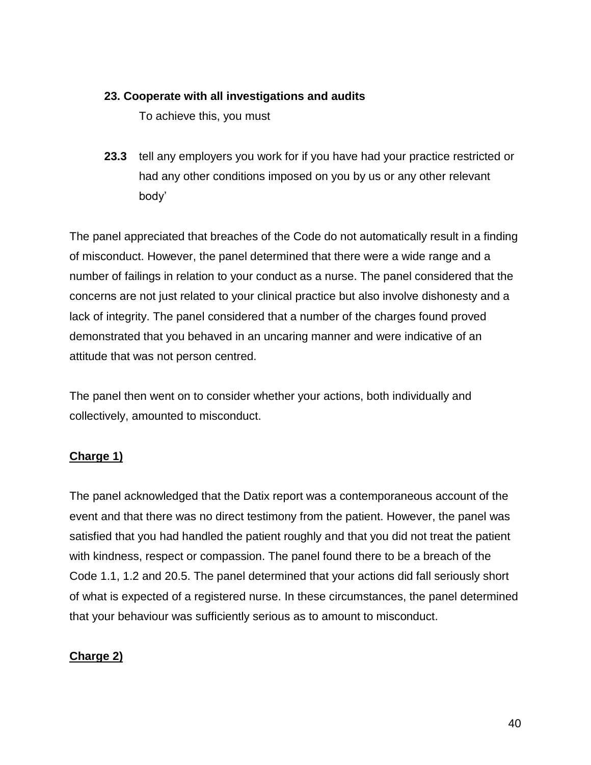## **23. Cooperate with all investigations and audits**

To achieve this, you must

**23.3** tell any employers you work for if you have had your practice restricted or had any other conditions imposed on you by us or any other relevant body'

The panel appreciated that breaches of the Code do not automatically result in a finding of misconduct. However, the panel determined that there were a wide range and a number of failings in relation to your conduct as a nurse. The panel considered that the concerns are not just related to your clinical practice but also involve dishonesty and a lack of integrity. The panel considered that a number of the charges found proved demonstrated that you behaved in an uncaring manner and were indicative of an attitude that was not person centred.

The panel then went on to consider whether your actions, both individually and collectively, amounted to misconduct.

## **Charge 1)**

The panel acknowledged that the Datix report was a contemporaneous account of the event and that there was no direct testimony from the patient. However, the panel was satisfied that you had handled the patient roughly and that you did not treat the patient with kindness, respect or compassion. The panel found there to be a breach of the Code 1.1, 1.2 and 20.5. The panel determined that your actions did fall seriously short of what is expected of a registered nurse. In these circumstances, the panel determined that your behaviour was sufficiently serious as to amount to misconduct.

## **Charge 2)**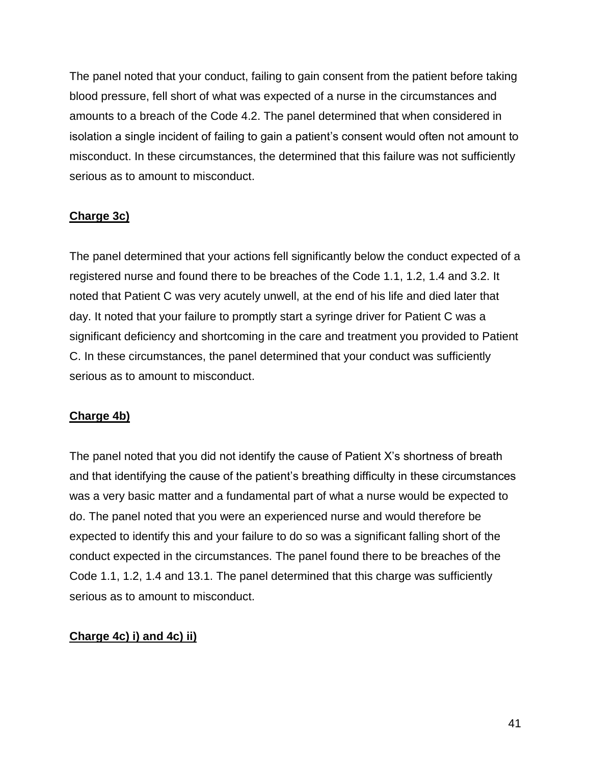The panel noted that your conduct, failing to gain consent from the patient before taking blood pressure, fell short of what was expected of a nurse in the circumstances and amounts to a breach of the Code 4.2. The panel determined that when considered in isolation a single incident of failing to gain a patient's consent would often not amount to misconduct. In these circumstances, the determined that this failure was not sufficiently serious as to amount to misconduct.

# **Charge 3c)**

The panel determined that your actions fell significantly below the conduct expected of a registered nurse and found there to be breaches of the Code 1.1, 1.2, 1.4 and 3.2. It noted that Patient C was very acutely unwell, at the end of his life and died later that day. It noted that your failure to promptly start a syringe driver for Patient C was a significant deficiency and shortcoming in the care and treatment you provided to Patient C. In these circumstances, the panel determined that your conduct was sufficiently serious as to amount to misconduct.

## **Charge 4b)**

The panel noted that you did not identify the cause of Patient X's shortness of breath and that identifying the cause of the patient's breathing difficulty in these circumstances was a very basic matter and a fundamental part of what a nurse would be expected to do. The panel noted that you were an experienced nurse and would therefore be expected to identify this and your failure to do so was a significant falling short of the conduct expected in the circumstances. The panel found there to be breaches of the Code 1.1, 1.2, 1.4 and 13.1. The panel determined that this charge was sufficiently serious as to amount to misconduct.

# **Charge 4c) i) and 4c) ii)**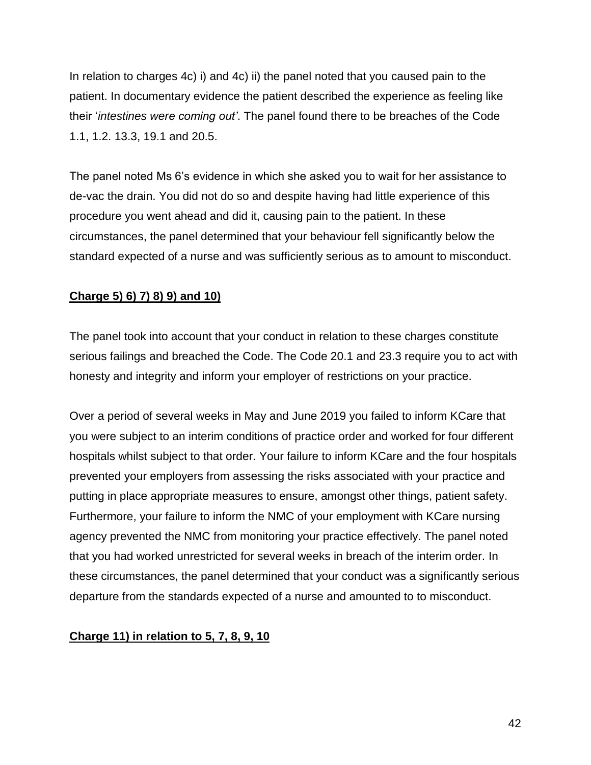In relation to charges 4c) i) and 4c) ii) the panel noted that you caused pain to the patient. In documentary evidence the patient described the experience as feeling like their '*intestines were coming out'*. The panel found there to be breaches of the Code 1.1, 1.2. 13.3, 19.1 and 20.5.

The panel noted Ms 6's evidence in which she asked you to wait for her assistance to de-vac the drain. You did not do so and despite having had little experience of this procedure you went ahead and did it, causing pain to the patient. In these circumstances, the panel determined that your behaviour fell significantly below the standard expected of a nurse and was sufficiently serious as to amount to misconduct.

# **Charge 5) 6) 7) 8) 9) and 10)**

The panel took into account that your conduct in relation to these charges constitute serious failings and breached the Code. The Code 20.1 and 23.3 require you to act with honesty and integrity and inform your employer of restrictions on your practice.

Over a period of several weeks in May and June 2019 you failed to inform KCare that you were subject to an interim conditions of practice order and worked for four different hospitals whilst subject to that order. Your failure to inform KCare and the four hospitals prevented your employers from assessing the risks associated with your practice and putting in place appropriate measures to ensure, amongst other things, patient safety. Furthermore, your failure to inform the NMC of your employment with KCare nursing agency prevented the NMC from monitoring your practice effectively. The panel noted that you had worked unrestricted for several weeks in breach of the interim order. In these circumstances, the panel determined that your conduct was a significantly serious departure from the standards expected of a nurse and amounted to to misconduct.

## **Charge 11) in relation to 5, 7, 8, 9, 10**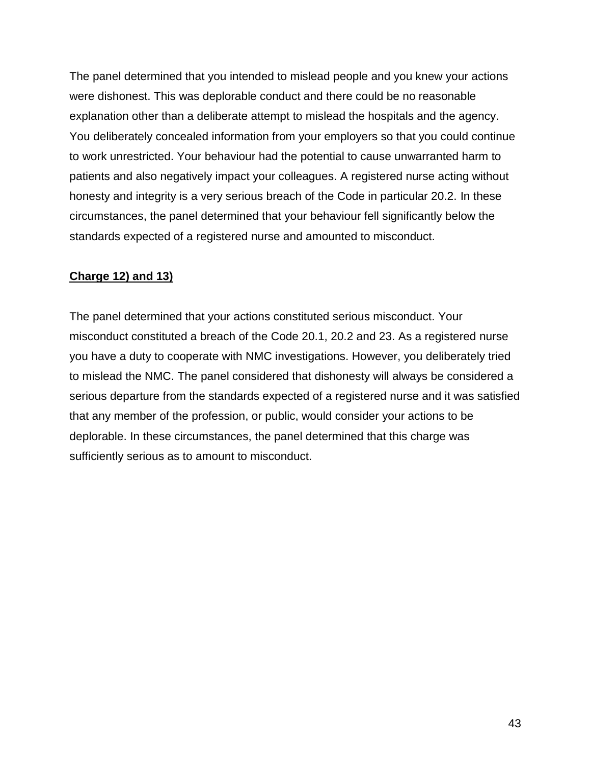The panel determined that you intended to mislead people and you knew your actions were dishonest. This was deplorable conduct and there could be no reasonable explanation other than a deliberate attempt to mislead the hospitals and the agency. You deliberately concealed information from your employers so that you could continue to work unrestricted. Your behaviour had the potential to cause unwarranted harm to patients and also negatively impact your colleagues. A registered nurse acting without honesty and integrity is a very serious breach of the Code in particular 20.2. In these circumstances, the panel determined that your behaviour fell significantly below the standards expected of a registered nurse and amounted to misconduct.

## **Charge 12) and 13)**

The panel determined that your actions constituted serious misconduct. Your misconduct constituted a breach of the Code 20.1, 20.2 and 23. As a registered nurse you have a duty to cooperate with NMC investigations. However, you deliberately tried to mislead the NMC. The panel considered that dishonesty will always be considered a serious departure from the standards expected of a registered nurse and it was satisfied that any member of the profession, or public, would consider your actions to be deplorable. In these circumstances, the panel determined that this charge was sufficiently serious as to amount to misconduct.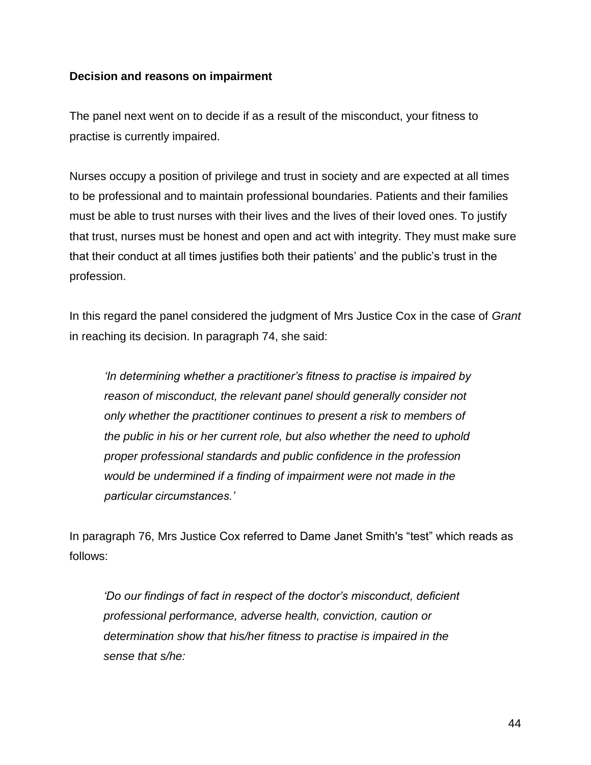#### **Decision and reasons on impairment**

The panel next went on to decide if as a result of the misconduct, your fitness to practise is currently impaired.

Nurses occupy a position of privilege and trust in society and are expected at all times to be professional and to maintain professional boundaries. Patients and their families must be able to trust nurses with their lives and the lives of their loved ones. To justify that trust, nurses must be honest and open and act with integrity. They must make sure that their conduct at all times justifies both their patients' and the public's trust in the profession.

In this regard the panel considered the judgment of Mrs Justice Cox in the case of *Grant*  in reaching its decision. In paragraph 74, she said:

*'In determining whether a practitioner's fitness to practise is impaired by reason of misconduct, the relevant panel should generally consider not only whether the practitioner continues to present a risk to members of the public in his or her current role, but also whether the need to uphold proper professional standards and public confidence in the profession would be undermined if a finding of impairment were not made in the particular circumstances.'*

In paragraph 76, Mrs Justice Cox referred to Dame Janet Smith's "test" which reads as follows:

*'Do our findings of fact in respect of the doctor's misconduct, deficient professional performance, adverse health, conviction, caution or determination show that his/her fitness to practise is impaired in the sense that s/he:*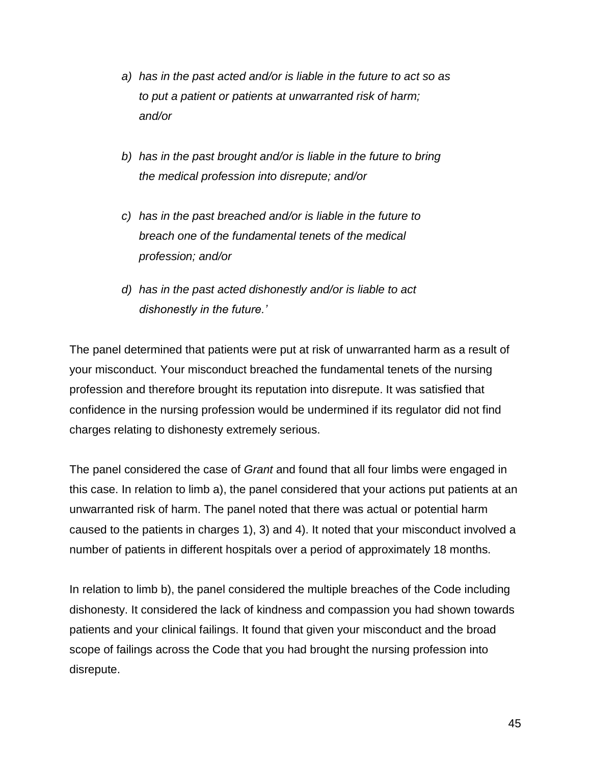- *a) has in the past acted and/or is liable in the future to act so as to put a patient or patients at unwarranted risk of harm; and/or*
- *b) has in the past brought and/or is liable in the future to bring the medical profession into disrepute; and/or*
- *c) has in the past breached and/or is liable in the future to breach one of the fundamental tenets of the medical profession; and/or*
- *d) has in the past acted dishonestly and/or is liable to act dishonestly in the future.'*

The panel determined that patients were put at risk of unwarranted harm as a result of your misconduct. Your misconduct breached the fundamental tenets of the nursing profession and therefore brought its reputation into disrepute. It was satisfied that confidence in the nursing profession would be undermined if its regulator did not find charges relating to dishonesty extremely serious.

The panel considered the case of *Grant* and found that all four limbs were engaged in this case. In relation to limb a), the panel considered that your actions put patients at an unwarranted risk of harm. The panel noted that there was actual or potential harm caused to the patients in charges 1), 3) and 4). It noted that your misconduct involved a number of patients in different hospitals over a period of approximately 18 months.

In relation to limb b), the panel considered the multiple breaches of the Code including dishonesty. It considered the lack of kindness and compassion you had shown towards patients and your clinical failings. It found that given your misconduct and the broad scope of failings across the Code that you had brought the nursing profession into disrepute.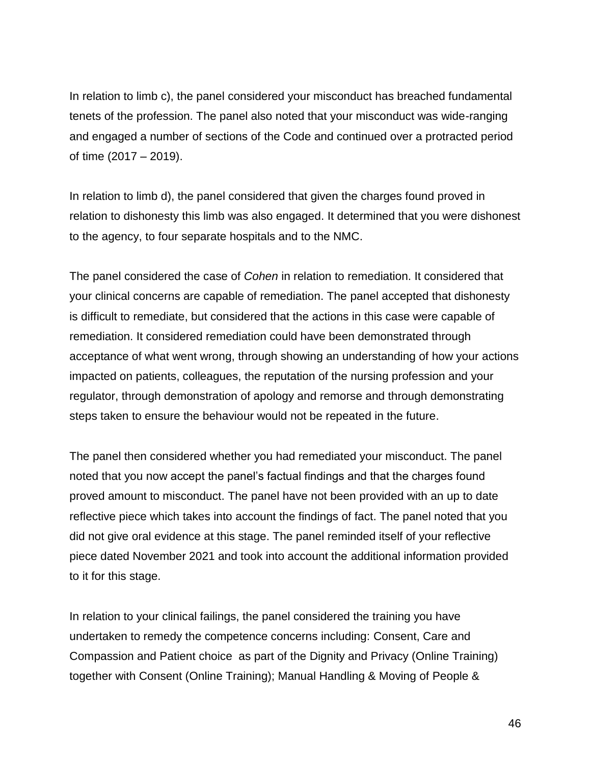In relation to limb c), the panel considered your misconduct has breached fundamental tenets of the profession. The panel also noted that your misconduct was wide-ranging and engaged a number of sections of the Code and continued over a protracted period of time (2017 – 2019).

In relation to limb d), the panel considered that given the charges found proved in relation to dishonesty this limb was also engaged. It determined that you were dishonest to the agency, to four separate hospitals and to the NMC.

The panel considered the case of *Cohen* in relation to remediation. It considered that your clinical concerns are capable of remediation. The panel accepted that dishonesty is difficult to remediate, but considered that the actions in this case were capable of remediation. It considered remediation could have been demonstrated through acceptance of what went wrong, through showing an understanding of how your actions impacted on patients, colleagues, the reputation of the nursing profession and your regulator, through demonstration of apology and remorse and through demonstrating steps taken to ensure the behaviour would not be repeated in the future.

The panel then considered whether you had remediated your misconduct. The panel noted that you now accept the panel's factual findings and that the charges found proved amount to misconduct. The panel have not been provided with an up to date reflective piece which takes into account the findings of fact. The panel noted that you did not give oral evidence at this stage. The panel reminded itself of your reflective piece dated November 2021 and took into account the additional information provided to it for this stage.

In relation to your clinical failings, the panel considered the training you have undertaken to remedy the competence concerns including: Consent, Care and Compassion and Patient choice as part of the Dignity and Privacy (Online Training) together with Consent (Online Training); Manual Handling & Moving of People &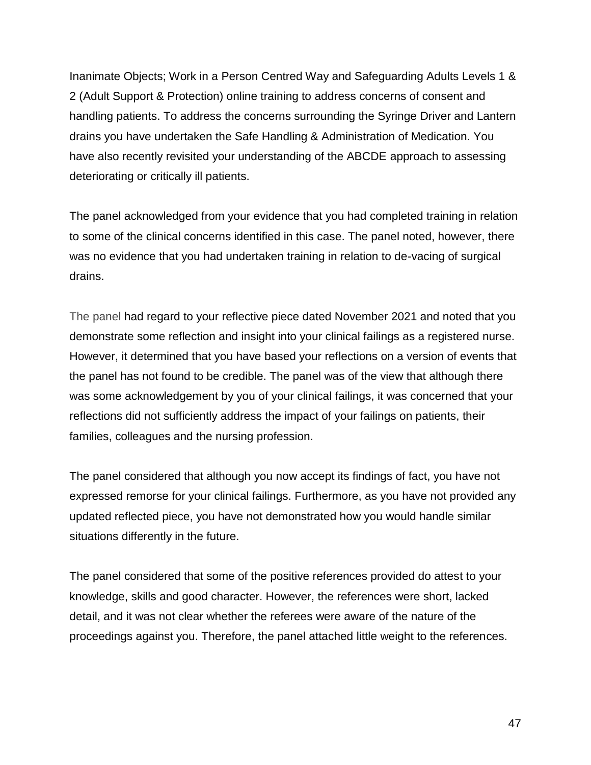Inanimate Objects; Work in a Person Centred Way and Safeguarding Adults Levels 1 & 2 (Adult Support & Protection) online training to address concerns of consent and handling patients. To address the concerns surrounding the Syringe Driver and Lantern drains you have undertaken the Safe Handling & Administration of Medication. You have also recently revisited your understanding of the ABCDE approach to assessing deteriorating or critically ill patients.

The panel acknowledged from your evidence that you had completed training in relation to some of the clinical concerns identified in this case. The panel noted, however, there was no evidence that you had undertaken training in relation to de-vacing of surgical drains.

The panel had regard to your reflective piece dated November 2021 and noted that you demonstrate some reflection and insight into your clinical failings as a registered nurse. However, it determined that you have based your reflections on a version of events that the panel has not found to be credible. The panel was of the view that although there was some acknowledgement by you of your clinical failings, it was concerned that your reflections did not sufficiently address the impact of your failings on patients, their families, colleagues and the nursing profession.

The panel considered that although you now accept its findings of fact, you have not expressed remorse for your clinical failings. Furthermore, as you have not provided any updated reflected piece, you have not demonstrated how you would handle similar situations differently in the future.

The panel considered that some of the positive references provided do attest to your knowledge, skills and good character. However, the references were short, lacked detail, and it was not clear whether the referees were aware of the nature of the proceedings against you. Therefore, the panel attached little weight to the references.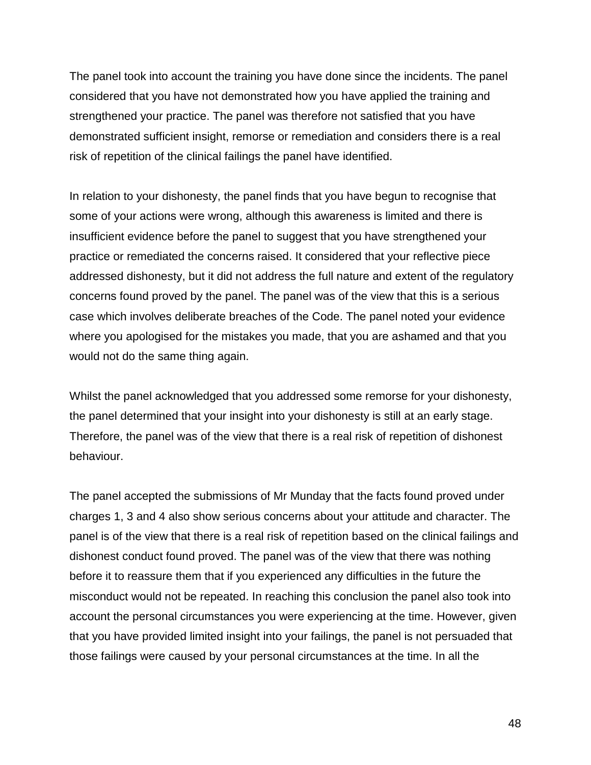The panel took into account the training you have done since the incidents. The panel considered that you have not demonstrated how you have applied the training and strengthened your practice. The panel was therefore not satisfied that you have demonstrated sufficient insight, remorse or remediation and considers there is a real risk of repetition of the clinical failings the panel have identified.

In relation to your dishonesty, the panel finds that you have begun to recognise that some of your actions were wrong, although this awareness is limited and there is insufficient evidence before the panel to suggest that you have strengthened your practice or remediated the concerns raised. It considered that your reflective piece addressed dishonesty, but it did not address the full nature and extent of the regulatory concerns found proved by the panel. The panel was of the view that this is a serious case which involves deliberate breaches of the Code. The panel noted your evidence where you apologised for the mistakes you made, that you are ashamed and that you would not do the same thing again.

Whilst the panel acknowledged that you addressed some remorse for your dishonesty, the panel determined that your insight into your dishonesty is still at an early stage. Therefore, the panel was of the view that there is a real risk of repetition of dishonest behaviour.

The panel accepted the submissions of Mr Munday that the facts found proved under charges 1, 3 and 4 also show serious concerns about your attitude and character. The panel is of the view that there is a real risk of repetition based on the clinical failings and dishonest conduct found proved. The panel was of the view that there was nothing before it to reassure them that if you experienced any difficulties in the future the misconduct would not be repeated. In reaching this conclusion the panel also took into account the personal circumstances you were experiencing at the time. However, given that you have provided limited insight into your failings, the panel is not persuaded that those failings were caused by your personal circumstances at the time. In all the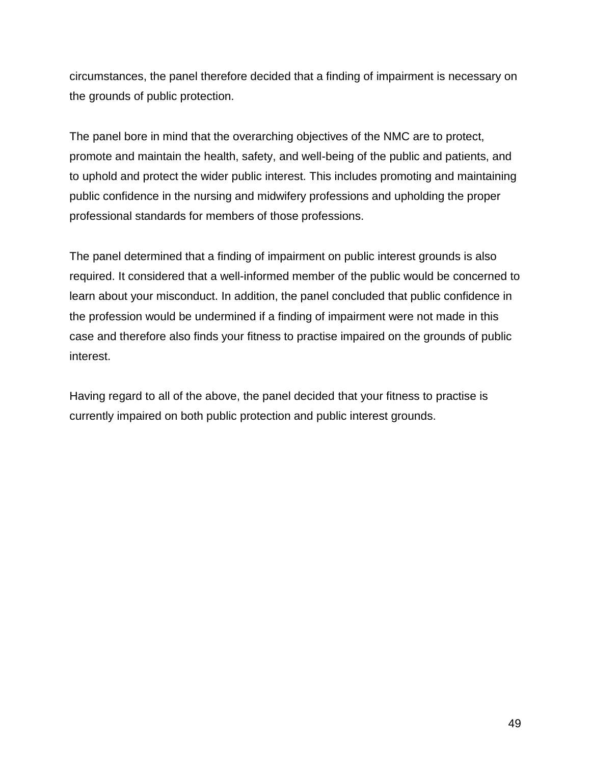circumstances, the panel therefore decided that a finding of impairment is necessary on the grounds of public protection.

The panel bore in mind that the overarching objectives of the NMC are to protect, promote and maintain the health, safety, and well-being of the public and patients, and to uphold and protect the wider public interest. This includes promoting and maintaining public confidence in the nursing and midwifery professions and upholding the proper professional standards for members of those professions.

The panel determined that a finding of impairment on public interest grounds is also required. It considered that a well-informed member of the public would be concerned to learn about your misconduct. In addition, the panel concluded that public confidence in the profession would be undermined if a finding of impairment were not made in this case and therefore also finds your fitness to practise impaired on the grounds of public interest.

Having regard to all of the above, the panel decided that your fitness to practise is currently impaired on both public protection and public interest grounds.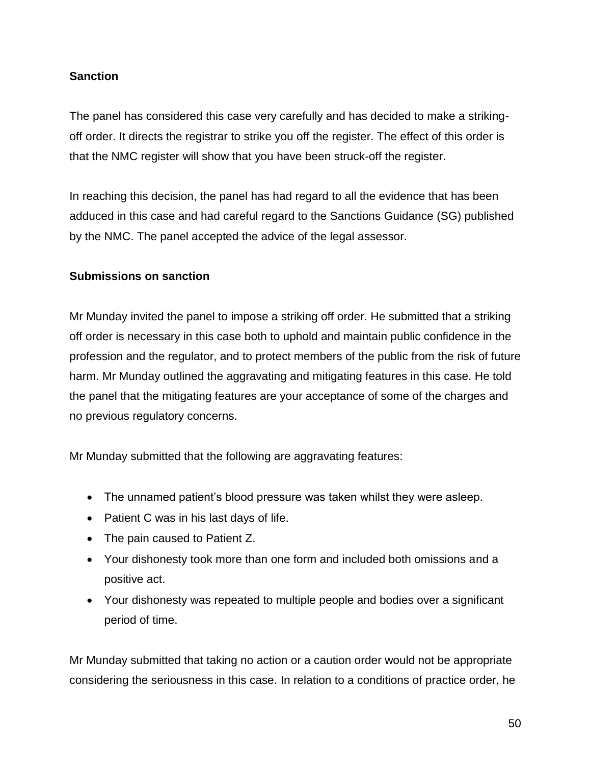# **Sanction**

The panel has considered this case very carefully and has decided to make a strikingoff order. It directs the registrar to strike you off the register. The effect of this order is that the NMC register will show that you have been struck-off the register.

In reaching this decision, the panel has had regard to all the evidence that has been adduced in this case and had careful regard to the Sanctions Guidance (SG) published by the NMC. The panel accepted the advice of the legal assessor.

#### **Submissions on sanction**

Mr Munday invited the panel to impose a striking off order. He submitted that a striking off order is necessary in this case both to uphold and maintain public confidence in the profession and the regulator, and to protect members of the public from the risk of future harm. Mr Munday outlined the aggravating and mitigating features in this case. He told the panel that the mitigating features are your acceptance of some of the charges and no previous regulatory concerns.

Mr Munday submitted that the following are aggravating features:

- The unnamed patient's blood pressure was taken whilst they were asleep.
- Patient C was in his last days of life.
- The pain caused to Patient Z.
- Your dishonesty took more than one form and included both omissions and a positive act.
- Your dishonesty was repeated to multiple people and bodies over a significant period of time.

Mr Munday submitted that taking no action or a caution order would not be appropriate considering the seriousness in this case. In relation to a conditions of practice order, he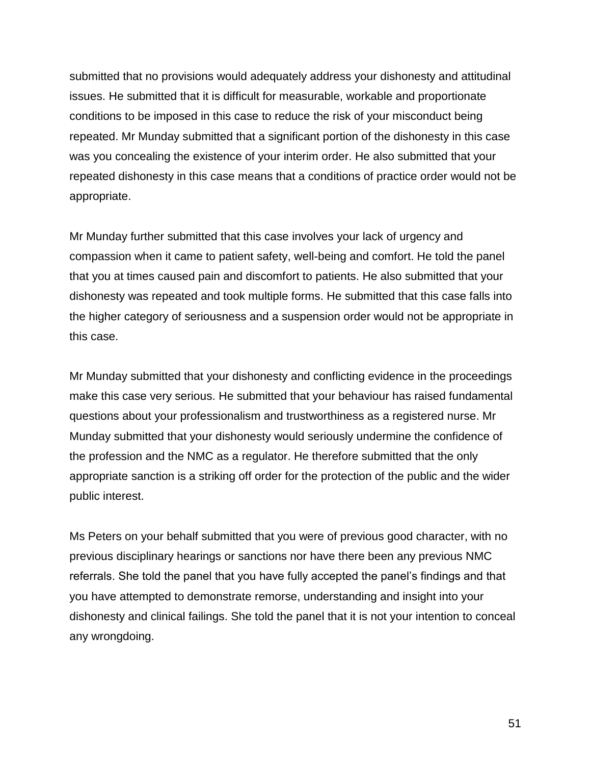submitted that no provisions would adequately address your dishonesty and attitudinal issues. He submitted that it is difficult for measurable, workable and proportionate conditions to be imposed in this case to reduce the risk of your misconduct being repeated. Mr Munday submitted that a significant portion of the dishonesty in this case was you concealing the existence of your interim order. He also submitted that your repeated dishonesty in this case means that a conditions of practice order would not be appropriate.

Mr Munday further submitted that this case involves your lack of urgency and compassion when it came to patient safety, well-being and comfort. He told the panel that you at times caused pain and discomfort to patients. He also submitted that your dishonesty was repeated and took multiple forms. He submitted that this case falls into the higher category of seriousness and a suspension order would not be appropriate in this case.

Mr Munday submitted that your dishonesty and conflicting evidence in the proceedings make this case very serious. He submitted that your behaviour has raised fundamental questions about your professionalism and trustworthiness as a registered nurse. Mr Munday submitted that your dishonesty would seriously undermine the confidence of the profession and the NMC as a regulator. He therefore submitted that the only appropriate sanction is a striking off order for the protection of the public and the wider public interest.

Ms Peters on your behalf submitted that you were of previous good character, with no previous disciplinary hearings or sanctions nor have there been any previous NMC referrals. She told the panel that you have fully accepted the panel's findings and that you have attempted to demonstrate remorse, understanding and insight into your dishonesty and clinical failings. She told the panel that it is not your intention to conceal any wrongdoing.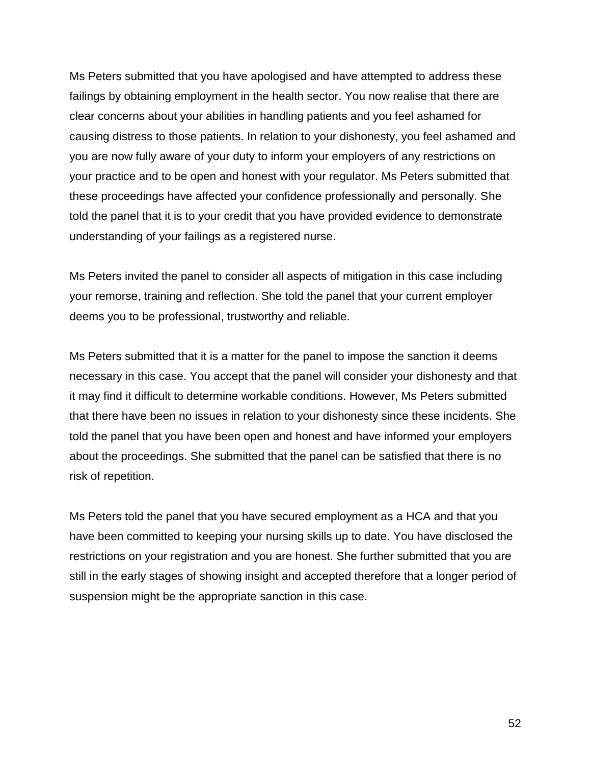Ms Peters submitted that you have apologised and have attempted to address these failings by obtaining employment in the health sector. You now realise that there are clear concerns about your abilities in handling patients and you feel ashamed for causing distress to those patients. In relation to your dishonesty, you feel ashamed and you are now fully aware of your duty to inform your employers of any restrictions on your practice and to be open and honest with your regulator. Ms Peters submitted that these proceedings have affected your confidence professionally and personally. She told the panel that it is to your credit that you have provided evidence to demonstrate understanding of your failings as a registered nurse.

Ms Peters invited the panel to consider all aspects of mitigation in this case including your remorse, training and reflection. She told the panel that your current employer deems you to be professional, trustworthy and reliable.

Ms Peters submitted that it is a matter for the panel to impose the sanction it deems necessary in this case. You accept that the panel will consider your dishonesty and that it may find it difficult to determine workable conditions. However, Ms Peters submitted that there have been no issues in relation to your dishonesty since these incidents. She told the panel that you have been open and honest and have informed your employers about the proceedings. She submitted that the panel can be satisfied that there is no risk of repetition.

Ms Peters told the panel that you have secured employment as a HCA and that you have been committed to keeping your nursing skills up to date. You have disclosed the restrictions on your registration and you are honest. She further submitted that you are still in the early stages of showing insight and accepted therefore that a longer period of suspension might be the appropriate sanction in this case.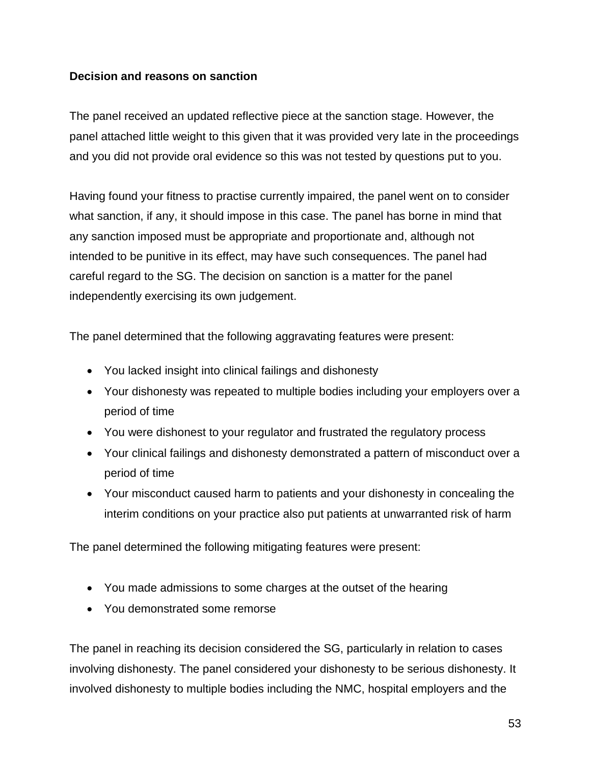## **Decision and reasons on sanction**

The panel received an updated reflective piece at the sanction stage. However, the panel attached little weight to this given that it was provided very late in the proceedings and you did not provide oral evidence so this was not tested by questions put to you.

Having found your fitness to practise currently impaired, the panel went on to consider what sanction, if any, it should impose in this case. The panel has borne in mind that any sanction imposed must be appropriate and proportionate and, although not intended to be punitive in its effect, may have such consequences. The panel had careful regard to the SG. The decision on sanction is a matter for the panel independently exercising its own judgement.

The panel determined that the following aggravating features were present:

- You lacked insight into clinical failings and dishonesty
- Your dishonesty was repeated to multiple bodies including your employers over a period of time
- You were dishonest to your regulator and frustrated the regulatory process
- Your clinical failings and dishonesty demonstrated a pattern of misconduct over a period of time
- Your misconduct caused harm to patients and your dishonesty in concealing the interim conditions on your practice also put patients at unwarranted risk of harm

The panel determined the following mitigating features were present:

- You made admissions to some charges at the outset of the hearing
- You demonstrated some remorse

The panel in reaching its decision considered the SG, particularly in relation to cases involving dishonesty. The panel considered your dishonesty to be serious dishonesty. It involved dishonesty to multiple bodies including the NMC, hospital employers and the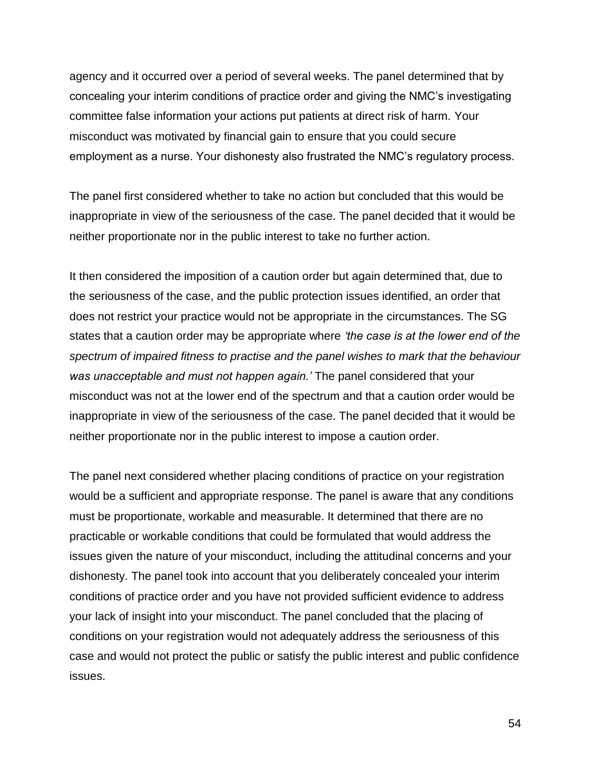agency and it occurred over a period of several weeks. The panel determined that by concealing your interim conditions of practice order and giving the NMC's investigating committee false information your actions put patients at direct risk of harm. Your misconduct was motivated by financial gain to ensure that you could secure employment as a nurse. Your dishonesty also frustrated the NMC's regulatory process.

The panel first considered whether to take no action but concluded that this would be inappropriate in view of the seriousness of the case. The panel decided that it would be neither proportionate nor in the public interest to take no further action.

It then considered the imposition of a caution order but again determined that, due to the seriousness of the case, and the public protection issues identified, an order that does not restrict your practice would not be appropriate in the circumstances. The SG states that a caution order may be appropriate where *'the case is at the lower end of the spectrum of impaired fitness to practise and the panel wishes to mark that the behaviour was unacceptable and must not happen again.'* The panel considered that your misconduct was not at the lower end of the spectrum and that a caution order would be inappropriate in view of the seriousness of the case. The panel decided that it would be neither proportionate nor in the public interest to impose a caution order.

The panel next considered whether placing conditions of practice on your registration would be a sufficient and appropriate response. The panel is aware that any conditions must be proportionate, workable and measurable. It determined that there are no practicable or workable conditions that could be formulated that would address the issues given the nature of your misconduct, including the attitudinal concerns and your dishonesty. The panel took into account that you deliberately concealed your interim conditions of practice order and you have not provided sufficient evidence to address your lack of insight into your misconduct. The panel concluded that the placing of conditions on your registration would not adequately address the seriousness of this case and would not protect the public or satisfy the public interest and public confidence issues.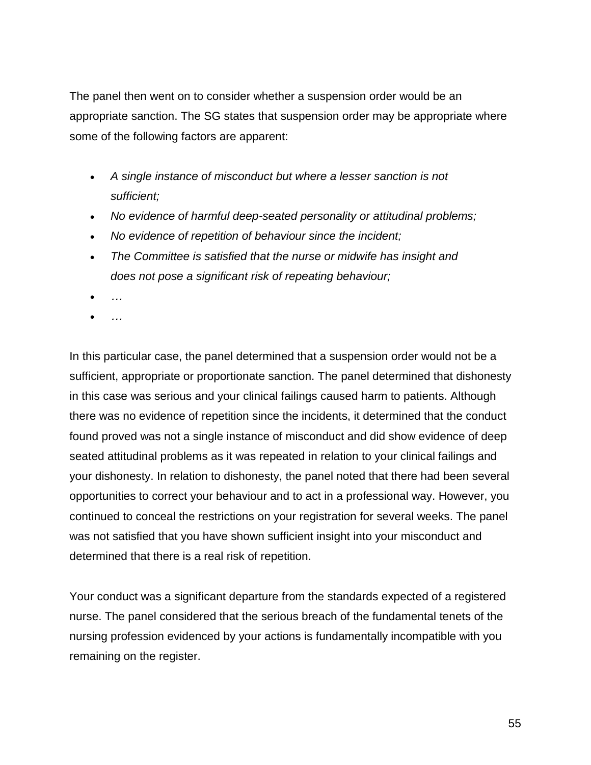The panel then went on to consider whether a suspension order would be an appropriate sanction. The SG states that suspension order may be appropriate where some of the following factors are apparent:

- *A single instance of misconduct but where a lesser sanction is not sufficient;*
- *No evidence of harmful deep-seated personality or attitudinal problems;*
- *No evidence of repetition of behaviour since the incident;*
- *The Committee is satisfied that the nurse or midwife has insight and does not pose a significant risk of repeating behaviour;*
- *…*
- *…*

In this particular case, the panel determined that a suspension order would not be a sufficient, appropriate or proportionate sanction. The panel determined that dishonesty in this case was serious and your clinical failings caused harm to patients. Although there was no evidence of repetition since the incidents, it determined that the conduct found proved was not a single instance of misconduct and did show evidence of deep seated attitudinal problems as it was repeated in relation to your clinical failings and your dishonesty. In relation to dishonesty, the panel noted that there had been several opportunities to correct your behaviour and to act in a professional way. However, you continued to conceal the restrictions on your registration for several weeks. The panel was not satisfied that you have shown sufficient insight into your misconduct and determined that there is a real risk of repetition.

Your conduct was a significant departure from the standards expected of a registered nurse. The panel considered that the serious breach of the fundamental tenets of the nursing profession evidenced by your actions is fundamentally incompatible with you remaining on the register.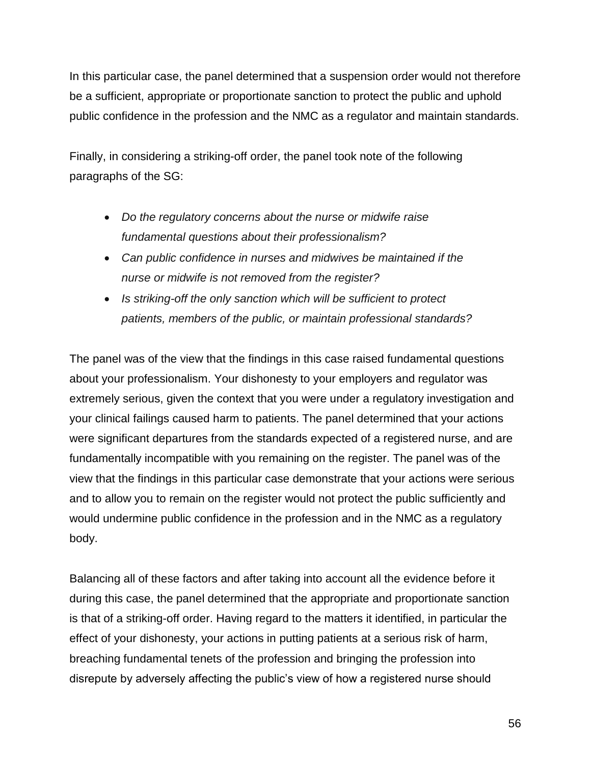In this particular case, the panel determined that a suspension order would not therefore be a sufficient, appropriate or proportionate sanction to protect the public and uphold public confidence in the profession and the NMC as a regulator and maintain standards.

Finally, in considering a striking-off order, the panel took note of the following paragraphs of the SG:

- *Do the regulatory concerns about the nurse or midwife raise fundamental questions about their professionalism?*
- *Can public confidence in nurses and midwives be maintained if the nurse or midwife is not removed from the register?*
- *Is striking-off the only sanction which will be sufficient to protect patients, members of the public, or maintain professional standards?*

The panel was of the view that the findings in this case raised fundamental questions about your professionalism. Your dishonesty to your employers and regulator was extremely serious, given the context that you were under a regulatory investigation and your clinical failings caused harm to patients. The panel determined that your actions were significant departures from the standards expected of a registered nurse, and are fundamentally incompatible with you remaining on the register. The panel was of the view that the findings in this particular case demonstrate that your actions were serious and to allow you to remain on the register would not protect the public sufficiently and would undermine public confidence in the profession and in the NMC as a regulatory body.

Balancing all of these factors and after taking into account all the evidence before it during this case, the panel determined that the appropriate and proportionate sanction is that of a striking-off order. Having regard to the matters it identified, in particular the effect of your dishonesty, your actions in putting patients at a serious risk of harm, breaching fundamental tenets of the profession and bringing the profession into disrepute by adversely affecting the public's view of how a registered nurse should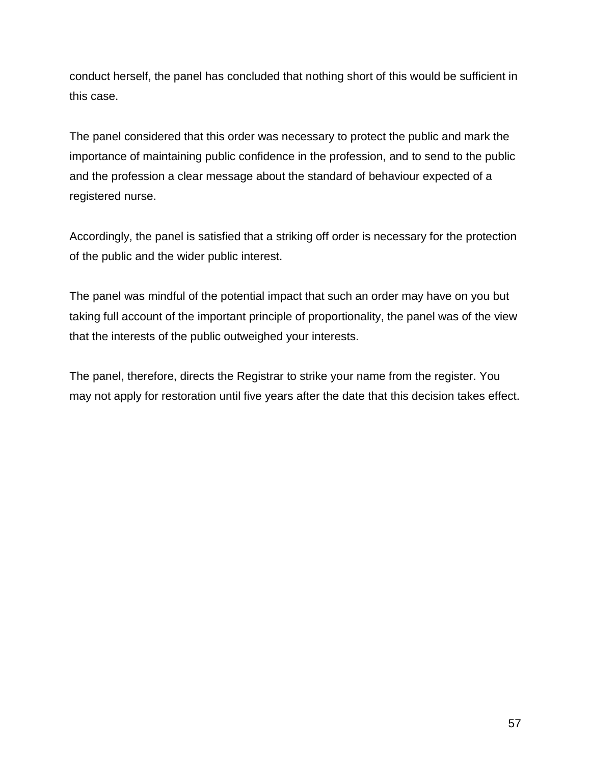conduct herself, the panel has concluded that nothing short of this would be sufficient in this case.

The panel considered that this order was necessary to protect the public and mark the importance of maintaining public confidence in the profession, and to send to the public and the profession a clear message about the standard of behaviour expected of a registered nurse.

Accordingly, the panel is satisfied that a striking off order is necessary for the protection of the public and the wider public interest.

The panel was mindful of the potential impact that such an order may have on you but taking full account of the important principle of proportionality, the panel was of the view that the interests of the public outweighed your interests.

The panel, therefore, directs the Registrar to strike your name from the register. You may not apply for restoration until five years after the date that this decision takes effect.